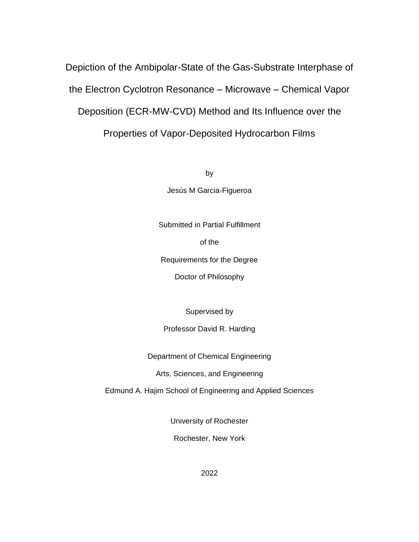Depiction of the Ambipolar-State of the Gas-Substrate Interphase of the Electron Cyclotron Resonance – Microwave – Chemical Vapor Deposition (ECR-MW-CVD) Method and Its Influence over the Properties of Vapor-Deposited Hydrocarbon Films

by

Jesús M Garcia-Figueroa

Submitted in Partial Fulfillment

of the

Requirements for the Degree

Doctor of Philosophy

Supervised by

#### Professor David R. Harding

Department of Chemical Engineering

Arts, Sciences, and Engineering

Edmund A. Hajim School of Engineering and Applied Sciences

University of Rochester

Rochester, New York

2022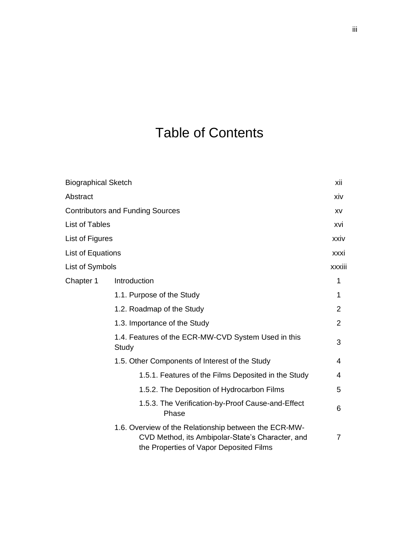# Table of Contents

| <b>Biographical Sketch</b> |                                                                                                                                                      | xii            |
|----------------------------|------------------------------------------------------------------------------------------------------------------------------------------------------|----------------|
| Abstract                   |                                                                                                                                                      | xiv            |
|                            | <b>Contributors and Funding Sources</b>                                                                                                              | XV             |
| <b>List of Tables</b>      |                                                                                                                                                      | xvi            |
| List of Figures            |                                                                                                                                                      | xxiv           |
| List of Equations          |                                                                                                                                                      | xxxi           |
| List of Symbols            |                                                                                                                                                      | xxxiii         |
| Chapter 1                  | Introduction                                                                                                                                         | 1              |
|                            | 1.1. Purpose of the Study                                                                                                                            | 1              |
|                            | 1.2. Roadmap of the Study                                                                                                                            | 2              |
|                            | 1.3. Importance of the Study                                                                                                                         | $\overline{2}$ |
|                            | 1.4. Features of the ECR-MW-CVD System Used in this<br>Study                                                                                         | 3              |
|                            | 1.5. Other Components of Interest of the Study                                                                                                       | 4              |
|                            | 1.5.1. Features of the Films Deposited in the Study                                                                                                  | 4              |
|                            | 1.5.2. The Deposition of Hydrocarbon Films                                                                                                           | 5              |
|                            | 1.5.3. The Verification-by-Proof Cause-and-Effect<br>Phase                                                                                           | 6              |
|                            | 1.6. Overview of the Relationship between the ECR-MW-<br>CVD Method, its Ambipolar-State's Character, and<br>the Properties of Vapor Deposited Films | 7              |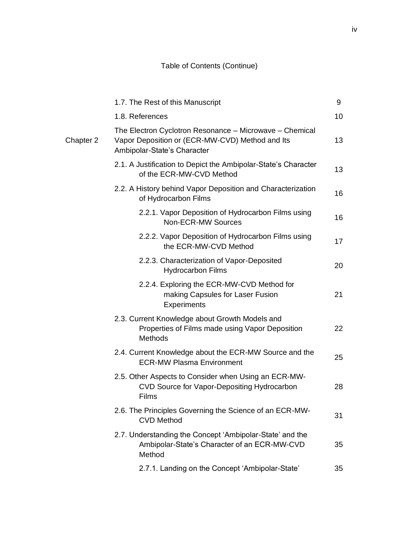|           | 1.7. The Rest of this Manuscript                                                                                                          | 9  |
|-----------|-------------------------------------------------------------------------------------------------------------------------------------------|----|
|           | 1.8. References                                                                                                                           | 10 |
| Chapter 2 | The Electron Cyclotron Resonance - Microwave - Chemical<br>Vapor Deposition or (ECR-MW-CVD) Method and Its<br>Ambipolar-State's Character | 13 |
|           | 2.1. A Justification to Depict the Ambipolar-State's Character<br>of the ECR-MW-CVD Method                                                | 13 |
|           | 2.2. A History behind Vapor Deposition and Characterization<br>of Hydrocarbon Films                                                       | 16 |
|           | 2.2.1. Vapor Deposition of Hydrocarbon Films using<br>Non-ECR-MW Sources                                                                  | 16 |
|           | 2.2.2. Vapor Deposition of Hydrocarbon Films using<br>the ECR-MW-CVD Method                                                               | 17 |
|           | 2.2.3. Characterization of Vapor-Deposited<br><b>Hydrocarbon Films</b>                                                                    | 20 |
|           | 2.2.4. Exploring the ECR-MW-CVD Method for<br>making Capsules for Laser Fusion<br>Experiments                                             | 21 |
|           | 2.3. Current Knowledge about Growth Models and<br>Properties of Films made using Vapor Deposition<br>Methods                              | 22 |
|           | 2.4. Current Knowledge about the ECR-MW Source and the<br><b>ECR-MW Plasma Environment</b>                                                | 25 |
|           | 2.5. Other Aspects to Consider when Using an ECR-MW-<br>CVD Source for Vapor-Depositing Hydrocarbon<br>Films                              | 28 |
|           | 2.6. The Principles Governing the Science of an ECR-MW-<br><b>CVD Method</b>                                                              | 31 |
|           | 2.7. Understanding the Concept 'Ambipolar-State' and the<br>Ambipolar-State's Character of an ECR-MW-CVD<br>Method                        | 35 |
|           | 2.7.1. Landing on the Concept 'Ambipolar-State'                                                                                           | 35 |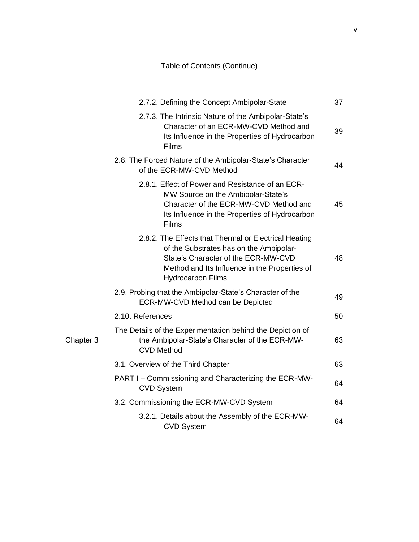|           | 2.7.2. Defining the Concept Ambipolar-State                                                                                                                                                                          | 37 |
|-----------|----------------------------------------------------------------------------------------------------------------------------------------------------------------------------------------------------------------------|----|
|           | 2.7.3. The Intrinsic Nature of the Ambipolar-State's<br>Character of an ECR-MW-CVD Method and<br>Its Influence in the Properties of Hydrocarbon<br>Films                                                             | 39 |
|           | 2.8. The Forced Nature of the Ambipolar-State's Character<br>of the ECR-MW-CVD Method                                                                                                                                | 44 |
|           | 2.8.1. Effect of Power and Resistance of an ECR-<br>MW Source on the Ambipolar-State's<br>Character of the ECR-MW-CVD Method and<br>Its Influence in the Properties of Hydrocarbon<br>Films                          | 45 |
|           | 2.8.2. The Effects that Thermal or Electrical Heating<br>of the Substrates has on the Ambipolar-<br>State's Character of the ECR-MW-CVD<br>Method and Its Influence in the Properties of<br><b>Hydrocarbon Films</b> | 48 |
|           | 2.9. Probing that the Ambipolar-State's Character of the<br>ECR-MW-CVD Method can be Depicted                                                                                                                        | 49 |
|           | 2.10. References                                                                                                                                                                                                     | 50 |
| Chapter 3 | The Details of the Experimentation behind the Depiction of<br>the Ambipolar-State's Character of the ECR-MW-<br><b>CVD Method</b>                                                                                    | 63 |
|           | 3.1. Overview of the Third Chapter                                                                                                                                                                                   | 63 |
|           | PART I - Commissioning and Characterizing the ECR-MW-<br><b>CVD System</b>                                                                                                                                           | 64 |
|           | 3.2. Commissioning the ECR-MW-CVD System                                                                                                                                                                             | 64 |
|           | 3.2.1. Details about the Assembly of the ECR-MW-<br><b>CVD System</b>                                                                                                                                                | 64 |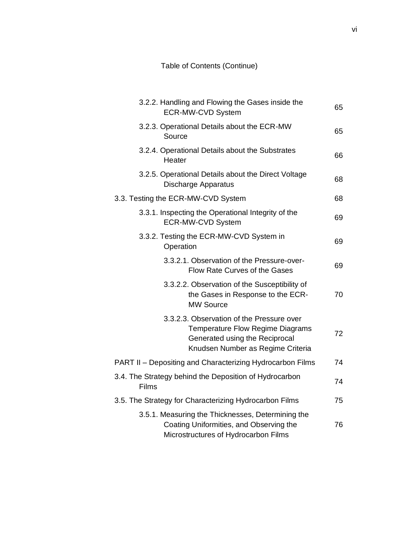|        | 3.2.2. Handling and Flowing the Gases inside the<br><b>ECR-MW-CVD System</b>                                                                         | 65 |
|--------|------------------------------------------------------------------------------------------------------------------------------------------------------|----|
| Source | 3.2.3. Operational Details about the ECR-MW                                                                                                          | 65 |
| Heater | 3.2.4. Operational Details about the Substrates                                                                                                      | 66 |
|        | 3.2.5. Operational Details about the Direct Voltage<br><b>Discharge Apparatus</b>                                                                    | 68 |
|        | 3.3. Testing the ECR-MW-CVD System                                                                                                                   | 68 |
|        | 3.3.1. Inspecting the Operational Integrity of the<br><b>ECR-MW-CVD System</b>                                                                       | 69 |
|        | 3.3.2. Testing the ECR-MW-CVD System in<br>Operation                                                                                                 | 69 |
|        | 3.3.2.1. Observation of the Pressure-over-<br>Flow Rate Curves of the Gases                                                                          | 69 |
|        | 3.3.2.2. Observation of the Susceptibility of<br>the Gases in Response to the ECR-<br><b>MW Source</b>                                               | 70 |
|        | 3.3.2.3. Observation of the Pressure over<br>Temperature Flow Regime Diagrams<br>Generated using the Reciprocal<br>Knudsen Number as Regime Criteria | 72 |
|        | PART II - Depositing and Characterizing Hydrocarbon Films                                                                                            | 74 |
| Films  | 3.4. The Strategy behind the Deposition of Hydrocarbon                                                                                               | 74 |
|        | 3.5. The Strategy for Characterizing Hydrocarbon Films                                                                                               | 75 |
|        | 3.5.1. Measuring the Thicknesses, Determining the<br>Coating Uniformities, and Observing the<br>Microstructures of Hydrocarbon Films                 | 76 |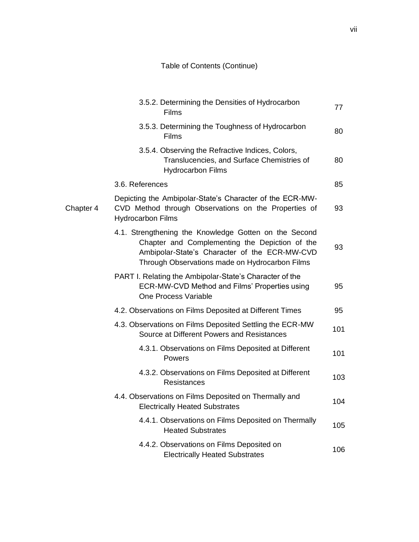|           | 3.5.2. Determining the Densities of Hydrocarbon<br>Films                                                                                                                                                   | 77  |
|-----------|------------------------------------------------------------------------------------------------------------------------------------------------------------------------------------------------------------|-----|
|           | 3.5.3. Determining the Toughness of Hydrocarbon<br>Films                                                                                                                                                   | 80  |
|           | 3.5.4. Observing the Refractive Indices, Colors,<br>Translucencies, and Surface Chemistries of<br><b>Hydrocarbon Films</b>                                                                                 | 80  |
|           | 3.6. References                                                                                                                                                                                            | 85  |
| Chapter 4 | Depicting the Ambipolar-State's Character of the ECR-MW-<br>CVD Method through Observations on the Properties of<br><b>Hydrocarbon Films</b>                                                               | 93  |
|           | 4.1. Strengthening the Knowledge Gotten on the Second<br>Chapter and Complementing the Depiction of the<br>Ambipolar-State's Character of the ECR-MW-CVD<br>Through Observations made on Hydrocarbon Films | 93  |
|           | PART I. Relating the Ambipolar-State's Character of the<br>ECR-MW-CVD Method and Films' Properties using<br>One Process Variable                                                                           | 95  |
|           | 4.2. Observations on Films Deposited at Different Times                                                                                                                                                    | 95  |
|           | 4.3. Observations on Films Deposited Settling the ECR-MW<br>Source at Different Powers and Resistances                                                                                                     | 101 |
|           | 4.3.1. Observations on Films Deposited at Different<br>Powers                                                                                                                                              | 101 |
|           | 4.3.2. Observations on Films Deposited at Different<br><b>Resistances</b>                                                                                                                                  | 103 |
|           | 4.4. Observations on Films Deposited on Thermally and<br><b>Electrically Heated Substrates</b>                                                                                                             | 104 |
|           | 4.4.1. Observations on Films Deposited on Thermally<br><b>Heated Substrates</b>                                                                                                                            | 105 |
|           | 4.4.2. Observations on Films Deposited on<br><b>Electrically Heated Substrates</b>                                                                                                                         | 106 |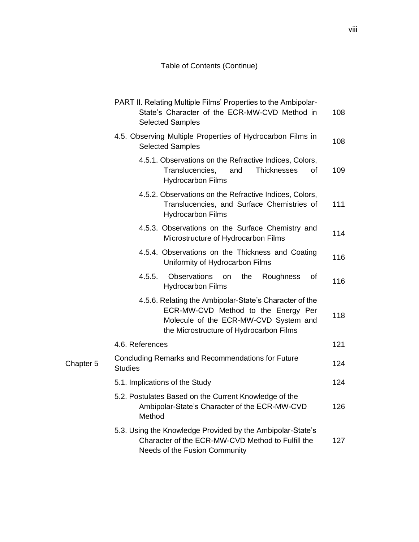|           | PART II. Relating Multiple Films' Properties to the Ambipolar-<br>State's Character of the ECR-MW-CVD Method in<br><b>Selected Samples</b>                                        | 108 |
|-----------|-----------------------------------------------------------------------------------------------------------------------------------------------------------------------------------|-----|
|           | 4.5. Observing Multiple Properties of Hydrocarbon Films in<br><b>Selected Samples</b>                                                                                             | 108 |
|           | 4.5.1. Observations on the Refractive Indices, Colors,<br>Translucencies,<br>and<br><b>Thicknesses</b><br>οf<br><b>Hydrocarbon Films</b>                                          | 109 |
|           | 4.5.2. Observations on the Refractive Indices, Colors,<br>Translucencies, and Surface Chemistries of<br><b>Hydrocarbon Films</b>                                                  | 111 |
|           | 4.5.3. Observations on the Surface Chemistry and<br>Microstructure of Hydrocarbon Films                                                                                           | 114 |
|           | 4.5.4. Observations on the Thickness and Coating<br>Uniformity of Hydrocarbon Films                                                                                               | 116 |
|           | 4.5.5.<br><b>Observations</b><br>the<br><b>on</b><br>Roughness<br>οf<br><b>Hydrocarbon Films</b>                                                                                  | 116 |
|           | 4.5.6. Relating the Ambipolar-State's Character of the<br>ECR-MW-CVD Method to the Energy Per<br>Molecule of the ECR-MW-CVD System and<br>the Microstructure of Hydrocarbon Films | 118 |
|           | 4.6. References                                                                                                                                                                   | 121 |
| Chapter 5 | Concluding Remarks and Recommendations for Future<br><b>Studies</b>                                                                                                               | 124 |
|           | 5.1. Implications of the Study                                                                                                                                                    | 124 |
|           | 5.2. Postulates Based on the Current Knowledge of the<br>Ambipolar-State's Character of the ECR-MW-CVD<br>Method                                                                  | 126 |
|           | 5.3. Using the Knowledge Provided by the Ambipolar-State's<br>Character of the ECR-MW-CVD Method to Fulfill the<br>Needs of the Fusion Community                                  | 127 |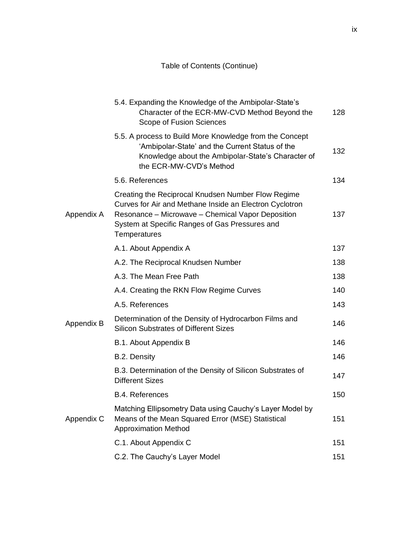|            | 5.4. Expanding the Knowledge of the Ambipolar-State's<br>Character of the ECR-MW-CVD Method Beyond the<br>Scope of Fusion Sciences                                                                                                   | 128 |
|------------|--------------------------------------------------------------------------------------------------------------------------------------------------------------------------------------------------------------------------------------|-----|
|            | 5.5. A process to Build More Knowledge from the Concept<br>'Ambipolar-State' and the Current Status of the<br>Knowledge about the Ambipolar-State's Character of<br>the ECR-MW-CVD's Method                                          | 132 |
|            | 5.6. References                                                                                                                                                                                                                      | 134 |
| Appendix A | Creating the Reciprocal Knudsen Number Flow Regime<br>Curves for Air and Methane Inside an Electron Cyclotron<br>Resonance - Microwave - Chemical Vapor Deposition<br>System at Specific Ranges of Gas Pressures and<br>Temperatures | 137 |
|            | A.1. About Appendix A                                                                                                                                                                                                                | 137 |
|            | A.2. The Reciprocal Knudsen Number                                                                                                                                                                                                   | 138 |
|            | A.3. The Mean Free Path                                                                                                                                                                                                              | 138 |
|            | A.4. Creating the RKN Flow Regime Curves                                                                                                                                                                                             | 140 |
|            | A.5. References                                                                                                                                                                                                                      | 143 |
| Appendix B | Determination of the Density of Hydrocarbon Films and<br><b>Silicon Substrates of Different Sizes</b>                                                                                                                                | 146 |
|            | B.1. About Appendix B                                                                                                                                                                                                                | 146 |
|            | B.2. Density                                                                                                                                                                                                                         | 146 |
|            | B.3. Determination of the Density of Silicon Substrates of<br><b>Different Sizes</b>                                                                                                                                                 | 147 |
|            | <b>B.4. References</b>                                                                                                                                                                                                               | 150 |
| Appendix C | Matching Ellipsometry Data using Cauchy's Layer Model by<br>Means of the Mean Squared Error (MSE) Statistical<br><b>Approximation Method</b>                                                                                         | 151 |
|            | C.1. About Appendix C                                                                                                                                                                                                                | 151 |
|            | C.2. The Cauchy's Layer Model                                                                                                                                                                                                        | 151 |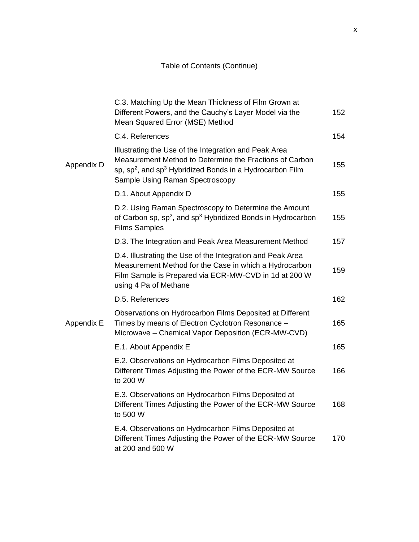|            | C.3. Matching Up the Mean Thickness of Film Grown at<br>Different Powers, and the Cauchy's Layer Model via the<br>Mean Squared Error (MSE) Method                                                                                       | 152 |
|------------|-----------------------------------------------------------------------------------------------------------------------------------------------------------------------------------------------------------------------------------------|-----|
|            | C.4. References                                                                                                                                                                                                                         | 154 |
| Appendix D | Illustrating the Use of the Integration and Peak Area<br>Measurement Method to Determine the Fractions of Carbon<br>sp, sp <sup>2</sup> , and sp <sup>3</sup> Hybridized Bonds in a Hydrocarbon Film<br>Sample Using Raman Spectroscopy | 155 |
|            | D.1. About Appendix D                                                                                                                                                                                                                   | 155 |
|            | D.2. Using Raman Spectroscopy to Determine the Amount<br>of Carbon sp, sp <sup>2</sup> , and sp <sup>3</sup> Hybridized Bonds in Hydrocarbon<br><b>Films Samples</b>                                                                    | 155 |
|            | D.3. The Integration and Peak Area Measurement Method                                                                                                                                                                                   | 157 |
|            | D.4. Illustrating the Use of the Integration and Peak Area<br>Measurement Method for the Case in which a Hydrocarbon<br>Film Sample is Prepared via ECR-MW-CVD in 1d at 200 W<br>using 4 Pa of Methane                                  | 159 |
|            | D.5. References                                                                                                                                                                                                                         | 162 |
| Appendix E | Observations on Hydrocarbon Films Deposited at Different<br>Times by means of Electron Cyclotron Resonance -<br>Microwave - Chemical Vapor Deposition (ECR-MW-CVD)                                                                      | 165 |
|            | E.1. About Appendix E                                                                                                                                                                                                                   | 165 |
|            | E.2. Observations on Hydrocarbon Films Deposited at<br>Different Times Adjusting the Power of the ECR-MW Source<br>to 200 W                                                                                                             | 166 |
|            | E.3. Observations on Hydrocarbon Films Deposited at<br>Different Times Adjusting the Power of the ECR-MW Source<br>to 500 W                                                                                                             | 168 |
|            | E.4. Observations on Hydrocarbon Films Deposited at<br>Different Times Adjusting the Power of the ECR-MW Source<br>at 200 and 500 W                                                                                                     | 170 |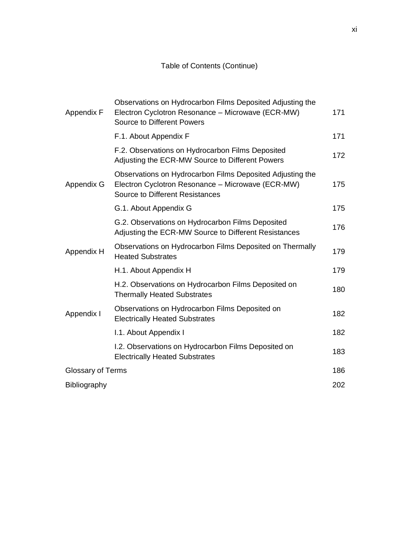| Appendix F        | Observations on Hydrocarbon Films Deposited Adjusting the<br>Electron Cyclotron Resonance - Microwave (ECR-MW)<br><b>Source to Different Powers</b>      | 171 |
|-------------------|----------------------------------------------------------------------------------------------------------------------------------------------------------|-----|
|                   | F.1. About Appendix F                                                                                                                                    | 171 |
|                   | F.2. Observations on Hydrocarbon Films Deposited<br>Adjusting the ECR-MW Source to Different Powers                                                      | 172 |
| Appendix G        | Observations on Hydrocarbon Films Deposited Adjusting the<br>Electron Cyclotron Resonance - Microwave (ECR-MW)<br><b>Source to Different Resistances</b> | 175 |
|                   | G.1. About Appendix G                                                                                                                                    | 175 |
|                   | G.2. Observations on Hydrocarbon Films Deposited<br>Adjusting the ECR-MW Source to Different Resistances                                                 | 176 |
| Appendix H        | Observations on Hydrocarbon Films Deposited on Thermally<br><b>Heated Substrates</b>                                                                     | 179 |
|                   | H.1. About Appendix H                                                                                                                                    | 179 |
|                   | H.2. Observations on Hydrocarbon Films Deposited on<br><b>Thermally Heated Substrates</b>                                                                | 180 |
| Appendix I        | Observations on Hydrocarbon Films Deposited on<br><b>Electrically Heated Substrates</b>                                                                  | 182 |
|                   | I.1. About Appendix I                                                                                                                                    | 182 |
|                   | I.2. Observations on Hydrocarbon Films Deposited on<br><b>Electrically Heated Substrates</b>                                                             | 183 |
| Glossary of Terms |                                                                                                                                                          | 186 |
| Bibliography      |                                                                                                                                                          | 202 |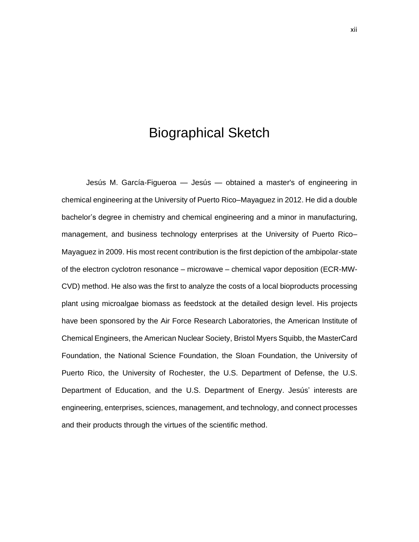# Biographical Sketch

Jesús M. García-Figueroa — Jesús — obtained a master's of engineering in chemical engineering at the University of Puerto Rico–Mayaguez in 2012. He did a double bachelor's degree in chemistry and chemical engineering and a minor in manufacturing, management, and business technology enterprises at the University of Puerto Rico– Mayaguez in 2009. His most recent contribution is the first depiction of the ambipolar-state of the electron cyclotron resonance – microwave – chemical vapor deposition (ECR-MW-CVD) method. He also was the first to analyze the costs of a local bioproducts processing plant using microalgae biomass as feedstock at the detailed design level. His projects have been sponsored by the Air Force Research Laboratories, the American Institute of Chemical Engineers, the American Nuclear Society, Bristol Myers Squibb, the MasterCard Foundation, the National Science Foundation, the Sloan Foundation, the University of Puerto Rico, the University of Rochester, the U.S. Department of Defense, the U.S. Department of Education, and the U.S. Department of Energy. Jesús' interests are engineering, enterprises, sciences, management, and technology, and connect processes and their products through the virtues of the scientific method.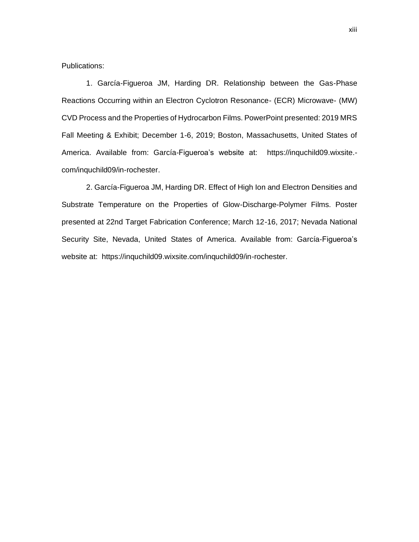Publications:

1. García-Figueroa JM, Harding DR. Relationship between the Gas-Phase Reactions Occurring within an Electron Cyclotron Resonance- (ECR) Microwave- (MW) CVD Process and the Properties of Hydrocarbon Films. PowerPoint presented: 2019 MRS Fall Meeting & Exhibit; December 1-6, 2019; Boston, Massachusetts, United States of America. Available from: García-Figueroa's website at: [https://inquchild09.wixsite.](https://inquchild09.wixsite.com/inquchild09) [com/inquchild09/in-rochester.](https://inquchild09.wixsite.com/inquchild09)

2. García-Figueroa JM, Harding DR. Effect of High Ion and Electron Densities and Substrate Temperature on the Properties of Glow-Discharge-Polymer Films. Poster presented at 22nd Target Fabrication Conference; March 12-16, 2017; Nevada National Security Site, Nevada, United States of America. Available from: García-Figueroa's website at: [https://inquchild09.wixsite.com/inquchild09/in-rochester.](https://inquchild09.wixsite.com/inquchild09)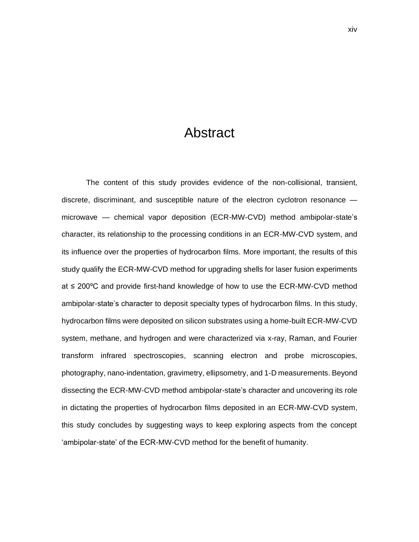# Abstract

The content of this study provides evidence of the non-collisional, transient, discrete, discriminant, and susceptible nature of the electron cyclotron resonance microwave — chemical vapor deposition (ECR-MW-CVD) method ambipolar-state's character, its relationship to the processing conditions in an ECR-MW-CVD system, and its influence over the properties of hydrocarbon films. More important, the results of this study qualify the ECR-MW-CVD method for upgrading shells for laser fusion experiments at ≤ 200ºC and provide first-hand knowledge of how to use the ECR-MW-CVD method ambipolar-state's character to deposit specialty types of hydrocarbon films. In this study, hydrocarbon films were deposited on silicon substrates using a home-built ECR-MW-CVD system, methane, and hydrogen and were characterized via x-ray, Raman, and Fourier transform infrared spectroscopies, scanning electron and probe microscopies, photography, nano-indentation, gravimetry, ellipsometry, and 1-D measurements. Beyond dissecting the ECR-MW-CVD method ambipolar-state's character and uncovering its role in dictating the properties of hydrocarbon films deposited in an ECR-MW-CVD system, this study concludes by suggesting ways to keep exploring aspects from the concept 'ambipolar-state' of the ECR-MW-CVD method for the benefit of humanity.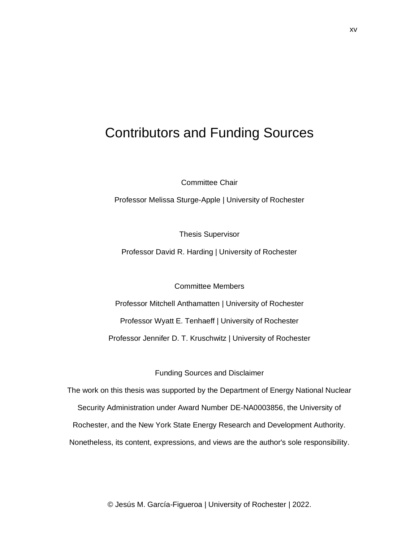# Contributors and Funding Sources

Committee Chair

Professor Melissa Sturge-Apple | University of Rochester

Thesis Supervisor

Professor David R. Harding | University of Rochester

Committee Members

Professor Mitchell Anthamatten | University of Rochester Professor Wyatt E. Tenhaeff | University of Rochester Professor Jennifer D. T. Kruschwitz | University of Rochester

Funding Sources and Disclaimer

The work on this thesis was supported by the Department of Energy National Nuclear Security Administration under Award Number DE-NA0003856, the University of Rochester, and the New York State Energy Research and Development Authority. Nonetheless, its content, expressions, and views are the author's sole responsibility.

© Jesús M. García-Figueroa | University of Rochester | 2022.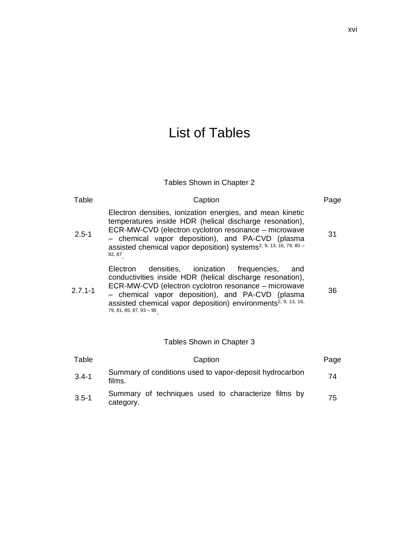# List of Tables

### Tables Shown in Chapter 2

| Table       | Caption                                                                                                                                                                                                                                                                                                                                | Page |
|-------------|----------------------------------------------------------------------------------------------------------------------------------------------------------------------------------------------------------------------------------------------------------------------------------------------------------------------------------------|------|
| $2.5 - 1$   | Electron densities, ionization energies, and mean kinetic<br>temperatures inside HDR (helical discharge resonation),<br>ECR-MW-CVD (electron cyclotron resonance – microwave<br>- chemical vapor deposition), and PA-CVD (plasma<br>assisted chemical vapor deposition) systems <sup>2, 9, 13, 16, 79, 80</sup> -<br>82, 87            | 31   |
| $2.7.1 - 1$ | densities, ionization frequencies,<br>Electron<br>and<br>conductivities inside HDR (helical discharge resonation),<br>ECR-MW-CVD (electron cyclotron resonance – microwave<br>- chemical vapor deposition), and PA-CVD (plasma<br>assisted chemical vapor deposition) environments <sup>2, 9, 13, 16,</sup><br>79, 81, 85, 87, 93 - 95 | 36   |
|             | Tables Shown in Chapter 3                                                                                                                                                                                                                                                                                                              |      |
| Table       | Caption                                                                                                                                                                                                                                                                                                                                | Page |
| $3.4 - 1$   | Summary of conditions used to vapor-deposit hydrocarbon<br>films.                                                                                                                                                                                                                                                                      | 74   |
| $3.5 - 1$   | Summary of techniques used to characterize films by<br>category.                                                                                                                                                                                                                                                                       | 75   |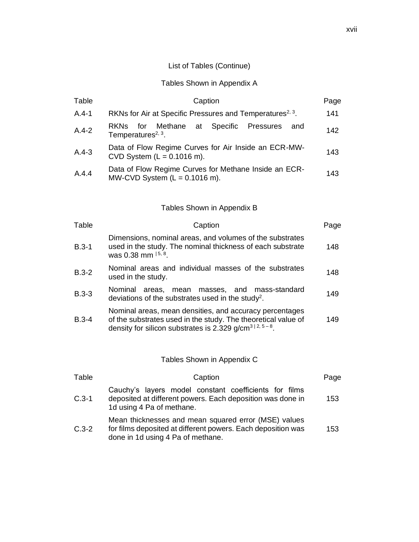#### Tables Shown in Appendix A

| Table   | Caption                                                                                      | Page |
|---------|----------------------------------------------------------------------------------------------|------|
| $A.4-1$ | RKNs for Air at Specific Pressures and Temperatures <sup>2, 3</sup> .                        | 141  |
| $A.4-2$ | for Methane at<br>Specific Pressures<br>and<br><b>RKNS</b><br>Temperatures <sup>2, 3</sup> . | 142  |
| $A.4-3$ | Data of Flow Regime Curves for Air Inside an ECR-MW-<br>CVD System $(L = 0.1016$ m).         | 143  |
| A.4.4   | Data of Flow Regime Curves for Methane Inside an ECR-<br>MW-CVD System $(L = 0.1016$ m).     | 143  |

#### Tables Shown in Appendix B

| Table   | Caption                                                                                                                                                                                          | Page |
|---------|--------------------------------------------------------------------------------------------------------------------------------------------------------------------------------------------------|------|
| $B.3-1$ | Dimensions, nominal areas, and volumes of the substrates<br>used in the study. The nominal thickness of each substrate<br>was 0.38 mm <sup>15, 8</sup> .                                         | 148  |
| $B.3-2$ | Nominal areas and individual masses of the substrates<br>used in the study.                                                                                                                      | 148  |
| $B.3-3$ | Nominal<br>areas, mean masses, and mass-standard<br>deviations of the substrates used in the study <sup>2</sup> .                                                                                | 149  |
| $B.3-4$ | Nominal areas, mean densities, and accuracy percentages<br>of the substrates used in the study. The theoretical value of<br>density for silicon substrates is 2.329 g/cm <sup>3   2, 5-8</sup> . | 149  |

### Tables Shown in Appendix C

| Table   | Caption                                                                                                                                                   | Page |
|---------|-----------------------------------------------------------------------------------------------------------------------------------------------------------|------|
| $C.3-1$ | Cauchy's layers model constant coefficients for films<br>deposited at different powers. Each deposition was done in<br>1d using 4 Pa of methane.          | 153  |
| $C.3-2$ | Mean thicknesses and mean squared error (MSE) values<br>for films deposited at different powers. Each deposition was<br>done in 1d using 4 Pa of methane. | 153  |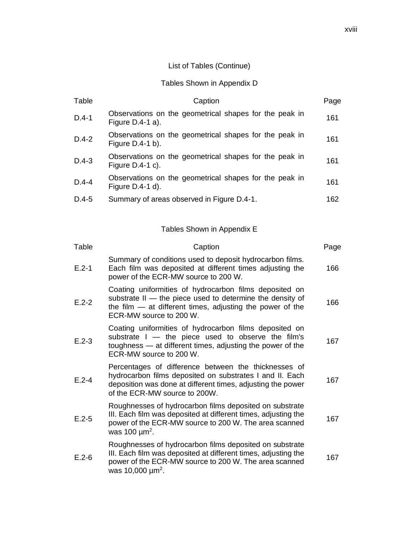### Tables Shown in Appendix D

| Table   | Caption                                                                      | Page |
|---------|------------------------------------------------------------------------------|------|
| $D.4-1$ | Observations on the geometrical shapes for the peak in<br>Figure $D.4-1$ a). | 161  |
| $D.4-2$ | Observations on the geometrical shapes for the peak in<br>Figure $D.4-1 b$ . | 161  |
| $D.4-3$ | Observations on the geometrical shapes for the peak in<br>Figure $D.4-1$ c). | 161  |
| $D.4-4$ | Observations on the geometrical shapes for the peak in<br>Figure $D.4-1$ d). | 161  |
| $D.4-5$ | Summary of areas observed in Figure D.4-1.                                   | 162  |

Tables Shown in Appendix E

| Table     | Caption                                                                                                                                                                                                                 | Page |
|-----------|-------------------------------------------------------------------------------------------------------------------------------------------------------------------------------------------------------------------------|------|
| $E.2 - 1$ | Summary of conditions used to deposit hydrocarbon films.<br>Each film was deposited at different times adjusting the<br>power of the ECR-MW source to 200 W.                                                            | 166  |
| $E.2 - 2$ | Coating uniformities of hydrocarbon films deposited on<br>substrate II - the piece used to determine the density of<br>the film $-$ at different times, adjusting the power of the<br>ECR-MW source to 200 W.           | 166  |
| $E.2-3$   | Coating uniformities of hydrocarbon films deposited on<br>substrate $I -$ the piece used to observe the film's<br>toughness - at different times, adjusting the power of the<br>ECR-MW source to 200 W.                 | 167  |
| $E.2 - 4$ | Percentages of difference between the thicknesses of<br>hydrocarbon films deposited on substrates I and II. Each<br>deposition was done at different times, adjusting the power<br>of the ECR-MW source to 200W.        | 167  |
| $E.2 - 5$ | Roughnesses of hydrocarbon films deposited on substrate<br>III. Each film was deposited at different times, adjusting the<br>power of the ECR-MW source to 200 W. The area scanned<br>was 100 $\mu$ m <sup>2</sup> .    | 167  |
| $E.2-6$   | Roughnesses of hydrocarbon films deposited on substrate<br>III. Each film was deposited at different times, adjusting the<br>power of the ECR-MW source to 200 W. The area scanned<br>was 10,000 $\mu$ m <sup>2</sup> . | 167  |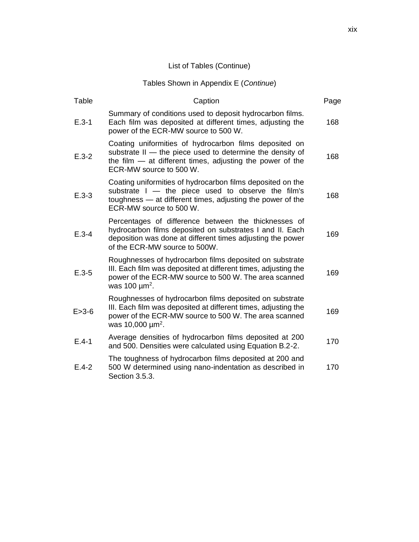### Tables Shown in Appendix E (*Continue*)

| Table       | Caption                                                                                                                                                                                                                 | Page |
|-------------|-------------------------------------------------------------------------------------------------------------------------------------------------------------------------------------------------------------------------|------|
| $E.3-1$     | Summary of conditions used to deposit hydrocarbon films.<br>Each film was deposited at different times, adjusting the<br>power of the ECR-MW source to 500 W.                                                           | 168  |
| $E.3 - 2$   | Coating uniformities of hydrocarbon films deposited on<br>substrate II — the piece used to determine the density of<br>the film $-$ at different times, adjusting the power of the<br>ECR-MW source to 500 W.           | 168  |
| $E.3 - 3$   | Coating uniformities of hydrocarbon films deposited on the<br>substrate $I -$ the piece used to observe the film's<br>toughness - at different times, adjusting the power of the<br>ECR-MW source to 500 W.             | 168  |
| $E.3 - 4$   | Percentages of difference between the thicknesses of<br>hydrocarbon films deposited on substrates I and II. Each<br>deposition was done at different times adjusting the power<br>of the ECR-MW source to 500W.         | 169  |
| $E.3 - 5$   | Roughnesses of hydrocarbon films deposited on substrate<br>III. Each film was deposited at different times, adjusting the<br>power of the ECR-MW source to 500 W. The area scanned<br>was 100 $\mu$ m <sup>2</sup> .    | 169  |
| $E > 3 - 6$ | Roughnesses of hydrocarbon films deposited on substrate<br>III. Each film was deposited at different times, adjusting the<br>power of the ECR-MW source to 500 W. The area scanned<br>was 10,000 $\mu$ m <sup>2</sup> . | 169  |
| $E.4-1$     | Average densities of hydrocarbon films deposited at 200<br>and 500. Densities were calculated using Equation B.2-2.                                                                                                     | 170  |
| $E.4 - 2$   | The toughness of hydrocarbon films deposited at 200 and<br>500 W determined using nano-indentation as described in<br>Section 3.5.3.                                                                                    | 170  |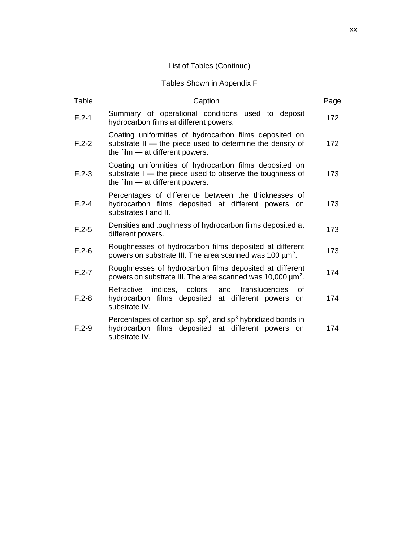### Tables Shown in Appendix F

| Table     | Caption                                                                                                                                                  | Page |
|-----------|----------------------------------------------------------------------------------------------------------------------------------------------------------|------|
| $F.2-1$   | Summary of operational conditions used to deposit<br>hydrocarbon films at different powers.                                                              | 172  |
| $F.2 - 2$ | Coating uniformities of hydrocarbon films deposited on<br>substrate II - the piece used to determine the density of<br>the film $-$ at different powers. | 172  |
| $F.2-3$   | Coating uniformities of hydrocarbon films deposited on<br>substrate I - the piece used to observe the toughness of<br>the film - at different powers.    | 173  |
| $F.2 - 4$ | Percentages of difference between the thicknesses of<br>hydrocarbon films deposited at different powers<br><b>on</b><br>substrates I and II.             | 173  |
| $F.2 - 5$ | Densities and toughness of hydrocarbon films deposited at<br>different powers.                                                                           | 173  |
| $F.2-6$   | Roughnesses of hydrocarbon films deposited at different<br>powers on substrate III. The area scanned was 100 $\mu$ m <sup>2</sup> .                      | 173  |
| $F.2 - 7$ | Roughnesses of hydrocarbon films deposited at different<br>powers on substrate III. The area scanned was 10,000 $\mu$ m <sup>2</sup> .                   | 174  |
| $F.2 - 8$ | Refractive<br>indices, colors, and translucencies<br>Ωf<br>hydrocarbon films deposited at different powers<br><b>on</b><br>substrate IV.                 | 174  |
| $F.2-9$   | Percentages of carbon sp, $sp^2$ , and $sp^3$ hybridized bonds in<br>hydrocarbon films deposited at different powers on<br>substrate IV.                 | 174  |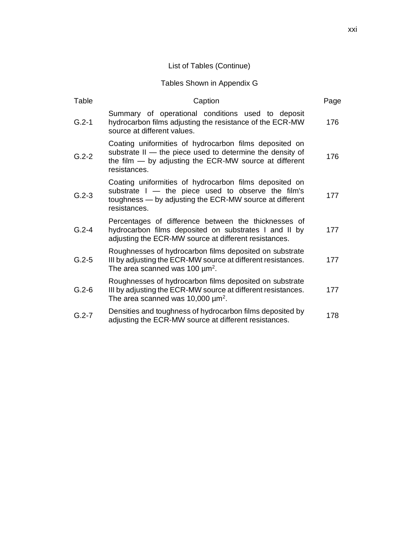#### Tables Shown in Appendix G

| Table     | Caption                                                                                                                                                                                         | Page |
|-----------|-------------------------------------------------------------------------------------------------------------------------------------------------------------------------------------------------|------|
| $G.2-1$   | Summary of operational conditions used to deposit<br>hydrocarbon films adjusting the resistance of the ECR-MW<br>source at different values.                                                    | 176  |
| $G.2 - 2$ | Coating uniformities of hydrocarbon films deposited on<br>substrate II - the piece used to determine the density of<br>the film $-$ by adjusting the ECR-MW source at different<br>resistances. | 176  |
| $G.2 - 3$ | Coating uniformities of hydrocarbon films deposited on<br>substrate $I -$ the piece used to observe the film's<br>toughness — by adjusting the ECR-MW source at different<br>resistances.       | 177  |
| $G.2 - 4$ | Percentages of difference between the thicknesses of<br>hydrocarbon films deposited on substrates I and II by<br>adjusting the ECR-MW source at different resistances.                          | 177  |
| $G.2 - 5$ | Roughnesses of hydrocarbon films deposited on substrate<br>III by adjusting the ECR-MW source at different resistances.<br>The area scanned was 100 $\mu$ m <sup>2</sup> .                      | 177  |
| $G.2 - 6$ | Roughnesses of hydrocarbon films deposited on substrate<br>III by adjusting the ECR-MW source at different resistances.<br>The area scanned was 10,000 $\mu$ m <sup>2</sup> .                   | 177  |
| $G.2 - 7$ | Densities and toughness of hydrocarbon films deposited by<br>adjusting the ECR-MW source at different resistances.                                                                              | 178  |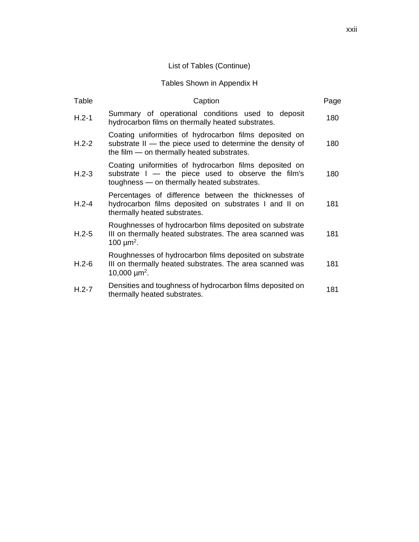### Tables Shown in Appendix H

| Table   | Caption                                                                                                                                                           | Page |
|---------|-------------------------------------------------------------------------------------------------------------------------------------------------------------------|------|
| $H.2-1$ | Summary of operational conditions used to deposit<br>hydrocarbon films on thermally heated substrates.                                                            | 180  |
| $H.2-2$ | Coating uniformities of hydrocarbon films deposited on<br>substrate II - the piece used to determine the density of<br>the film - on thermally heated substrates. | 180  |
| $H.2-3$ | Coating uniformities of hydrocarbon films deposited on<br>substrate I - the piece used to observe the film's<br>toughness - on thermally heated substrates.       | 180  |
| $H.2-4$ | Percentages of difference between the thicknesses of<br>hydrocarbon films deposited on substrates I and II on<br>thermally heated substrates.                     | 181  |
| $H.2-5$ | Roughnesses of hydrocarbon films deposited on substrate<br>III on thermally heated substrates. The area scanned was<br>100 $\mu$ m <sup>2</sup> .                 | 181  |
| $H.2-6$ | Roughnesses of hydrocarbon films deposited on substrate<br>III on thermally heated substrates. The area scanned was<br>10,000 $\mu$ m <sup>2</sup> .              | 181  |
| $H.2-7$ | Densities and toughness of hydrocarbon films deposited on<br>thermally heated substrates.                                                                         | 181  |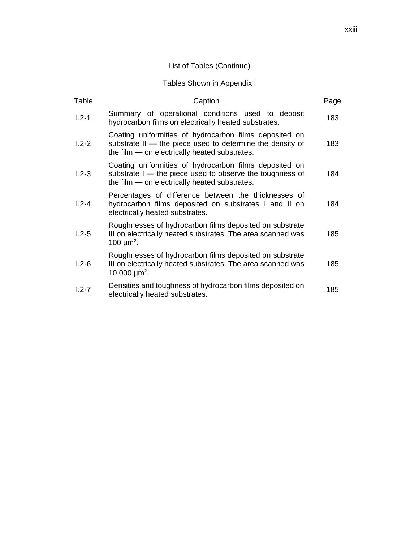#### Tables Shown in Appendix I

| Table     | Caption                                                                                                                                                              | Page |
|-----------|----------------------------------------------------------------------------------------------------------------------------------------------------------------------|------|
| $1.2 - 1$ | Summary of operational conditions used to deposit<br>hydrocarbon films on electrically heated substrates.                                                            | 183  |
| $1.2 - 2$ | Coating uniformities of hydrocarbon films deposited on<br>substrate II - the piece used to determine the density of<br>the film — on electrically heated substrates. | 183  |
| $1.2 - 3$ | Coating uniformities of hydrocarbon films deposited on<br>substrate I - the piece used to observe the toughness of<br>the film - on electrically heated substrates.  | 184  |
| $1.2 - 4$ | Percentages of difference between the thicknesses of<br>hydrocarbon films deposited on substrates I and II on<br>electrically heated substrates.                     | 184  |
| $1.2 - 5$ | Roughnesses of hydrocarbon films deposited on substrate<br>III on electrically heated substrates. The area scanned was<br>100 $\mu$ m <sup>2</sup> .                 | 185  |
| $1.2 - 6$ | Roughnesses of hydrocarbon films deposited on substrate<br>III on electrically heated substrates. The area scanned was<br>10,000 $\mu$ m <sup>2</sup> .              | 185  |
| $1.2 - 7$ | Densities and toughness of hydrocarbon films deposited on<br>electrically heated substrates.                                                                         | 185  |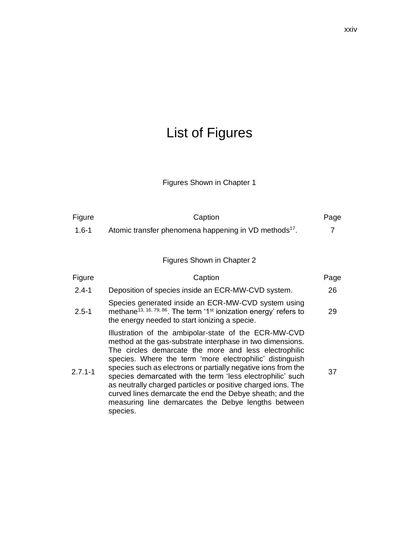# List of Figures

# Figures Shown in Chapter 1

| Figure      | Caption                                                                                                                                                                                                                                                                                                                                                                                                                                                                                                                                                               | Page |
|-------------|-----------------------------------------------------------------------------------------------------------------------------------------------------------------------------------------------------------------------------------------------------------------------------------------------------------------------------------------------------------------------------------------------------------------------------------------------------------------------------------------------------------------------------------------------------------------------|------|
| $1.6 - 1$   | Atomic transfer phenomena happening in VD methods <sup>17</sup> .                                                                                                                                                                                                                                                                                                                                                                                                                                                                                                     | 7    |
|             |                                                                                                                                                                                                                                                                                                                                                                                                                                                                                                                                                                       |      |
|             | Figures Shown in Chapter 2                                                                                                                                                                                                                                                                                                                                                                                                                                                                                                                                            |      |
| Figure      | Caption                                                                                                                                                                                                                                                                                                                                                                                                                                                                                                                                                               | Page |
| $2.4 - 1$   | Deposition of species inside an ECR-MW-CVD system.                                                                                                                                                                                                                                                                                                                                                                                                                                                                                                                    | 26   |
| $2.5 - 1$   | Species generated inside an ECR-MW-CVD system using<br>methane <sup>13, 16, 79, 86</sup> . The term '1 <sup>st</sup> ionization energy' refers to<br>the energy needed to start ionizing a specie.                                                                                                                                                                                                                                                                                                                                                                    | 29   |
| $2.7.1 - 1$ | Illustration of the ambipolar-state of the ECR-MW-CVD<br>method at the gas-substrate interphase in two dimensions.<br>The circles demarcate the more and less electrophilic<br>species. Where the term 'more electrophilic' distinguish<br>species such as electrons or partially negative ions from the<br>species demarcated with the term 'less electrophilic' such<br>as neutrally charged particles or positive charged ions. The<br>curved lines demarcate the end the Debye sheath; and the<br>measuring line demarcates the Debye lengths between<br>species. | 37   |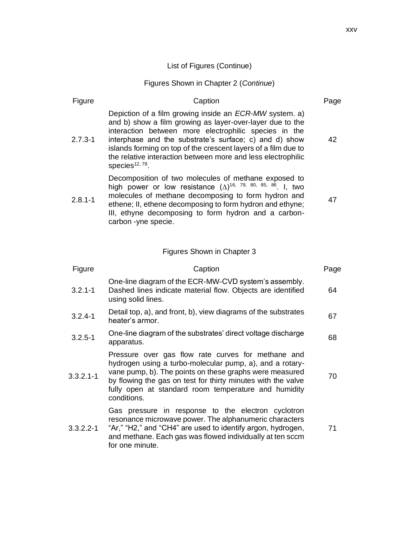### Figures Shown in Chapter 2 (*Continue*)

| Figure        | Caption                                                                                                                                                                                                                                                                                                                                                                                                | Page |
|---------------|--------------------------------------------------------------------------------------------------------------------------------------------------------------------------------------------------------------------------------------------------------------------------------------------------------------------------------------------------------------------------------------------------------|------|
| $2.7.3 - 1$   | Depiction of a film growing inside an <i>ECR-MW</i> system. a)<br>and b) show a film growing as layer-over-layer due to the<br>interaction between more electrophilic species in the<br>interphase and the substrate's surface; c) and d) show<br>islands forming on top of the crescent layers of a film due to<br>the relative interaction between more and less electrophilic<br>species $12, 78$ . | 42   |
| $2.8.1 - 1$   | Decomposition of two molecules of methane exposed to<br>high power or low resistance $(\Delta)^{16}$ , 79, 80, 85, 86. I, two<br>molecules of methane decomposing to form hydron and<br>ethene; II, ethene decomposing to form hydron and ethyne;<br>III, ethyne decomposing to form hydron and a carbon-<br>carbon -yne specie.                                                                       | 47   |
|               | Figures Shown in Chapter 3                                                                                                                                                                                                                                                                                                                                                                             |      |
| Figure        | Caption                                                                                                                                                                                                                                                                                                                                                                                                | Page |
| $3.2.1 - 1$   | One-line diagram of the ECR-MW-CVD system's assembly.<br>Dashed lines indicate material flow. Objects are identified<br>using solid lines.                                                                                                                                                                                                                                                             | 64   |
| $3.2.4 - 1$   | Detail top, a), and front, b), view diagrams of the substrates<br>heater's armor.                                                                                                                                                                                                                                                                                                                      | 67   |
| $3.2.5 - 1$   | One-line diagram of the substrates' direct voltage discharge<br>apparatus.                                                                                                                                                                                                                                                                                                                             | 68   |
| $3.3.2.1 - 1$ | Pressure over gas flow rate curves for methane and<br>hydrogen using a turbo-molecular pump, a), and a rotary-<br>vane pump, b). The points on these graphs were measured<br>by flowing the gas on test for thirty minutes with the valve<br>fully open at standard room temperature and humidity<br>conditions.                                                                                       | 70   |
| $3.3.2.2 - 1$ | Gas pressure in response to the electron cyclotron<br>resonance microwave power. The alphanumeric characters<br>"Ar," "H2," and "CH4" are used to identify argon, hydrogen,<br>and methane. Each gas was flowed individually at ten sccm                                                                                                                                                               | 71   |

for one minute.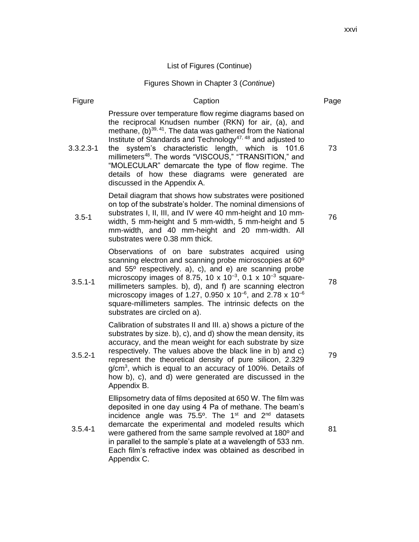#### Figures Shown in Chapter 3 (*Continue*)

#### Figure **Caption** Caption **Page** 3.3.2.3-1 Pressure over temperature flow regime diagrams based on the reciprocal Knudsen number (RKN) for air, (a), and methane,  $(b)$ <sup>39, 41</sup>. The data was gathered from the National Institute of Standards and Technology<sup>47, 48</sup> and adjusted to the system's characteristic length, which is 101.6 millimeters<sup>48</sup>. The words "VISCOUS," "TRANSITION," and "MOLECULAR" demarcate the type of flow regime. The details of how these diagrams were generated are discussed in the Appendix A. 3.5-1 Detail diagram that shows how substrates were positioned on top of the substrate's holder. The nominal dimensions of substrates I, II, III, and IV were 40 mm-height and 10 mmwidth, 5 mm-height and 5 mm-width, 5 mm-height and 5 mm-width, and 40 mm-height and 20 mm-width. All substrates were 0.38 mm thick. 3.5.1-1 Observations of on bare substrates acquired using scanning electron and scanning probe microscopies at 60º and 55º respectively. a), c), and e) are scanning probe microscopy images of 8.75, 10 x 10<sup>-3</sup>, 0.1 x 10<sup>-3</sup> squaremillimeters samples. b), d), and f) are scanning electron microscopy images of 1.27, 0.950 x 10<sup>-6</sup>, and 2.78 x 10<sup>-6</sup> square-millimeters samples. The intrinsic defects on the substrates are circled on a). 3.5.2-1 Calibration of substrates II and III. a) shows a picture of the substrates by size. b), c), and d) show the mean density, its accuracy, and the mean weight for each substrate by size respectively. The values above the black line in b) and c) represent the theoretical density of pure silicon, 2.329 g/cm<sup>3</sup>, which is equal to an accuracy of 100%. Details of how b), c), and d) were generated are discussed in the Appendix B. 3.5.4-1 Ellipsometry data of films deposited at 650 W. The film was deposited in one day using 4 Pa of methane. The beam's incidence angle was  $75.5^{\circ}$ . The 1<sup>st</sup> and 2<sup>nd</sup> datasets demarcate the experimental and modeled results which were gathered from the same sample revolved at 180º and

in parallel to the sample's plate at a wavelength of 533 nm. Each film's refractive index was obtained as described in Appendix C.

xxvi

73

76

78

79

81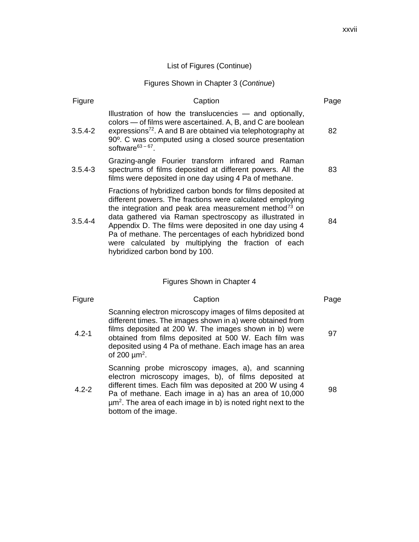#### Figures Shown in Chapter 3 (*Continue*)

| Figure      | Caption                                                                                                                                                                                                                                                                                                                                                                                                                                                               | Page |
|-------------|-----------------------------------------------------------------------------------------------------------------------------------------------------------------------------------------------------------------------------------------------------------------------------------------------------------------------------------------------------------------------------------------------------------------------------------------------------------------------|------|
| $3.5.4 - 2$ | Illustration of how the translucencies — and optionally,<br>colors — of films were ascertained. A, B, and C are boolean<br>expressions <sup>72</sup> . A and B are obtained via telephotography at<br>90°. C was computed using a closed source presentation<br>software $63-67$ .                                                                                                                                                                                    | 82   |
| $3.5.4 - 3$ | Grazing-angle Fourier transform infrared and Raman<br>spectrums of films deposited at different powers. All the<br>films were deposited in one day using 4 Pa of methane.                                                                                                                                                                                                                                                                                             | 83   |
| $3.5.4 - 4$ | Fractions of hybridized carbon bonds for films deposited at<br>different powers. The fractions were calculated employing<br>the integration and peak area measurement method <sup>73</sup> on<br>data gathered via Raman spectroscopy as illustrated in<br>Appendix D. The films were deposited in one day using 4<br>Pa of methane. The percentages of each hybridized bond<br>were calculated by multiplying the fraction of each<br>hybridized carbon bond by 100. | 84   |
|             | Figures Shown in Chapter 4                                                                                                                                                                                                                                                                                                                                                                                                                                            |      |
| Figure      | Caption                                                                                                                                                                                                                                                                                                                                                                                                                                                               | Page |
| $4.2 - 1$   | Scanning electron microscopy images of films deposited at<br>different times. The images shown in a) were obtained from<br>films deposited at 200 W. The images shown in b) were<br>obtained from films deposited at 500 W. Each film was<br>deposited using 4 Pa of methane. Each image has an area<br>of 200 $\mu$ m <sup>2</sup> .                                                                                                                                 | 97   |
|             | Scanning probe microscopy images, a), and scanning<br>electron microscopy images, b), of films deposited at                                                                                                                                                                                                                                                                                                                                                           |      |

4.2-2 different times. Each film was deposited at 200 W using 4 Pa of methane. Each image in a) has an area of 10,000  $\mu$ m<sup>2</sup>. The area of each image in b) is noted right next to the bottom of the image.

98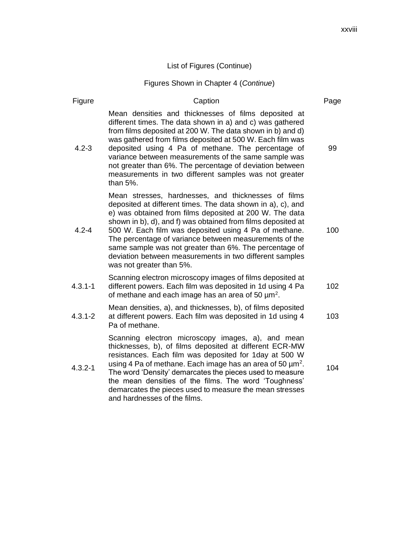### Figures Shown in Chapter 4 (*Continue*)

| Figure      | Caption                                                                                                                                                                                                                                                                                                                                                                                                                                                                                                           | Page |
|-------------|-------------------------------------------------------------------------------------------------------------------------------------------------------------------------------------------------------------------------------------------------------------------------------------------------------------------------------------------------------------------------------------------------------------------------------------------------------------------------------------------------------------------|------|
| $4.2 - 3$   | Mean densities and thicknesses of films deposited at<br>different times. The data shown in a) and c) was gathered<br>from films deposited at 200 W. The data shown in b) and d)<br>was gathered from films deposited at 500 W. Each film was<br>deposited using 4 Pa of methane. The percentage of<br>variance between measurements of the same sample was<br>not greater than 6%. The percentage of deviation between<br>measurements in two different samples was not greater<br>than 5%.                       | 99   |
| $4.2 - 4$   | Mean stresses, hardnesses, and thicknesses of films<br>deposited at different times. The data shown in a), c), and<br>e) was obtained from films deposited at 200 W. The data<br>shown in b), d), and f) was obtained from films deposited at<br>500 W. Each film was deposited using 4 Pa of methane.<br>The percentage of variance between measurements of the<br>same sample was not greater than 6%. The percentage of<br>deviation between measurements in two different samples<br>was not greater than 5%. | 100  |
| $4.3.1 - 1$ | Scanning electron microscopy images of films deposited at<br>different powers. Each film was deposited in 1d using 4 Pa<br>of methane and each image has an area of 50 $\mu$ m <sup>2</sup> .                                                                                                                                                                                                                                                                                                                     | 102  |
| $4.3.1 - 2$ | Mean densities, a), and thicknesses, b), of films deposited<br>at different powers. Each film was deposited in 1d using 4<br>Pa of methane.                                                                                                                                                                                                                                                                                                                                                                       | 103  |
| $4.3.2 - 1$ | Scanning electron microscopy images, a), and mean<br>thicknesses, b), of films deposited at different ECR-MW<br>resistances. Each film was deposited for 1day at 500 W<br>using 4 Pa of methane. Each image has an area of 50 $\mu$ m <sup>2</sup> .<br>The word 'Density' demarcates the pieces used to measure<br>the mean densities of the films. The word 'Toughness'<br>demarcates the pieces used to measure the mean stresses<br>and hardnesses of the films.                                              | 104  |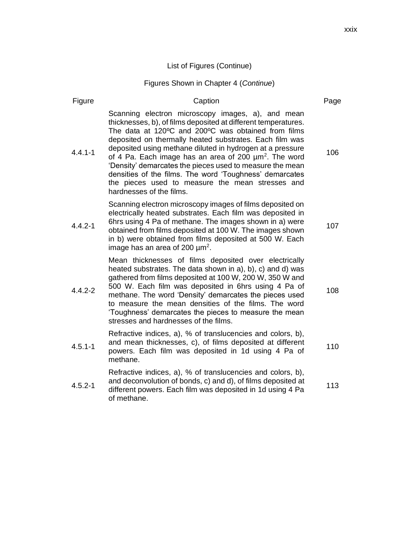# Figures Shown in Chapter 4 (*Continue*)

| Figure      | Caption                                                                                                                                                                                                                                                                                                                                                                                                                                                                                                                                                                             | Page |
|-------------|-------------------------------------------------------------------------------------------------------------------------------------------------------------------------------------------------------------------------------------------------------------------------------------------------------------------------------------------------------------------------------------------------------------------------------------------------------------------------------------------------------------------------------------------------------------------------------------|------|
| $4.4.1 - 1$ | Scanning electron microscopy images, a), and mean<br>thicknesses, b), of films deposited at different temperatures.<br>The data at 120°C and 200°C was obtained from films<br>deposited on thermally heated substrates. Each film was<br>deposited using methane diluted in hydrogen at a pressure<br>of 4 Pa. Each image has an area of 200 $\mu$ m <sup>2</sup> . The word<br>'Density' demarcates the pieces used to measure the mean<br>densities of the films. The word 'Toughness' demarcates<br>the pieces used to measure the mean stresses and<br>hardnesses of the films. | 106  |
| $4.4.2 - 1$ | Scanning electron microscopy images of films deposited on<br>electrically heated substrates. Each film was deposited in<br>6hrs using 4 Pa of methane. The images shown in a) were<br>obtained from films deposited at 100 W. The images shown<br>in b) were obtained from films deposited at 500 W. Each<br>image has an area of 200 $\mu$ m <sup>2</sup> .                                                                                                                                                                                                                        | 107  |
| $4.4.2 - 2$ | Mean thicknesses of films deposited over electrically<br>heated substrates. The data shown in a), b), c) and d) was<br>gathered from films deposited at 100 W, 200 W, 350 W and<br>500 W. Each film was deposited in 6hrs using 4 Pa of<br>methane. The word 'Density' demarcates the pieces used<br>to measure the mean densities of the films. The word<br>'Toughness' demarcates the pieces to measure the mean<br>stresses and hardnesses of the films.                                                                                                                         | 108  |
| $4.5.1 - 1$ | Refractive indices, a), % of translucencies and colors, b),<br>and mean thicknesses, c), of films deposited at different<br>powers. Each film was deposited in 1d using 4 Pa of<br>methane.                                                                                                                                                                                                                                                                                                                                                                                         | 110  |
| $4.5.2 - 1$ | Refractive indices, a), % of translucencies and colors, b),<br>and deconvolution of bonds, c) and d), of films deposited at<br>different powers. Each film was deposited in 1d using 4 Pa<br>of methane.                                                                                                                                                                                                                                                                                                                                                                            | 113  |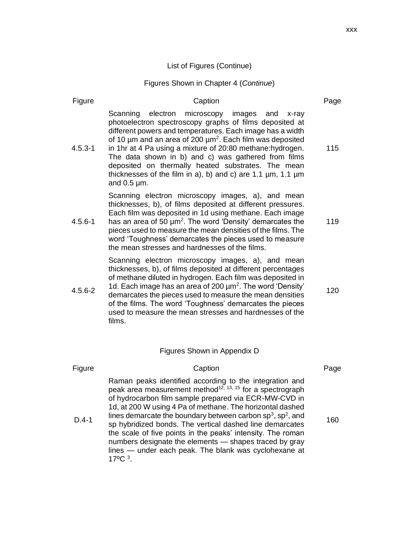### Figures Shown in Chapter 4 (*Continue*)

| Figure      | Caption                                                                                                                                                                                                                                                                                                                                                                                                                                                                                                                                                                              | Page |
|-------------|--------------------------------------------------------------------------------------------------------------------------------------------------------------------------------------------------------------------------------------------------------------------------------------------------------------------------------------------------------------------------------------------------------------------------------------------------------------------------------------------------------------------------------------------------------------------------------------|------|
| $4.5.3 - 1$ | electron<br>microscopy<br>Scanning<br>images<br>and<br>x-ray<br>photoelectron spectroscopy graphs of films deposited at<br>different powers and temperatures. Each image has a width<br>of 10 $\mu$ m and an area of 200 $\mu$ m <sup>2</sup> . Each film was deposited<br>in 1hr at 4 Pa using a mixture of 20:80 methane:hydrogen.<br>The data shown in b) and c) was gathered from films<br>deposited on thermally heated substrates. The mean<br>thicknesses of the film in a), b) and c) are 1.1 $\mu$ m, 1.1 $\mu$ m<br>and $0.5 \mu m$ .                                      | 115  |
| $4.5.6 - 1$ | Scanning electron microscopy images, a), and mean<br>thicknesses, b), of films deposited at different pressures.<br>Each film was deposited in 1d using methane. Each image<br>has an area of 50 $\mu$ m <sup>2</sup> . The word 'Density' demarcates the<br>pieces used to measure the mean densities of the films. The<br>word 'Toughness' demarcates the pieces used to measure<br>the mean stresses and hardnesses of the films.                                                                                                                                                 | 119  |
| $4.5.6 - 2$ | Scanning electron microscopy images, a), and mean<br>thicknesses, b), of films deposited at different percentages<br>of methane diluted in hydrogen. Each film was deposited in<br>1d. Each image has an area of 200 $\mu$ m <sup>2</sup> . The word 'Density'<br>demarcates the pieces used to measure the mean densities<br>of the films. The word 'Toughness' demarcates the pieces<br>used to measure the mean stresses and hardnesses of the<br>films.                                                                                                                          | 120  |
|             | Figures Shown in Appendix D                                                                                                                                                                                                                                                                                                                                                                                                                                                                                                                                                          |      |
| Figure      | Caption                                                                                                                                                                                                                                                                                                                                                                                                                                                                                                                                                                              | Page |
| $D.4-1$     | Raman peaks identified according to the integration and<br>peak area measurement method <sup>12, 13, 15</sup> for a spectrograph<br>of hydrocarbon film sample prepared via ECR-MW-CVD in<br>1d, at 200 W using 4 Pa of methane. The horizontal dashed<br>lines demarcate the boundary between carbon $sp^3$ , $sp^2$ , and<br>sp hybridized bonds. The vertical dashed line demarcates<br>the scale of five points in the peaks' intensity. The roman<br>numbers designate the elements - shapes traced by gray<br>lines - under each peak. The blank was cyclohexane at<br>17°C 3. | 160  |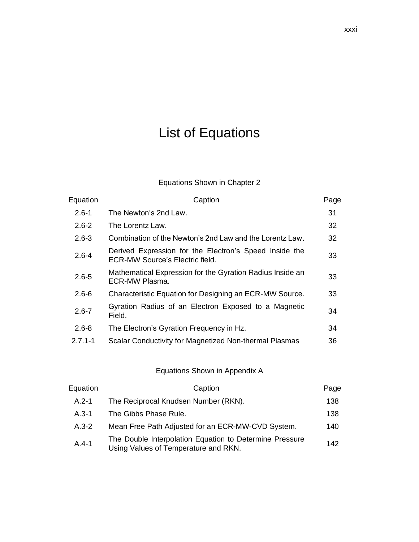# List of Equations

### Equations Shown in Chapter 2

| Equation    | Caption                                                                                          | Page |
|-------------|--------------------------------------------------------------------------------------------------|------|
| $2.6 - 1$   | The Newton's 2nd Law.                                                                            | 31   |
| $2.6 - 2$   | The Lorentz Law.                                                                                 | 32   |
| $2.6 - 3$   | Combination of the Newton's 2nd Law and the Lorentz Law.                                         | 32   |
| $2.6 - 4$   | Derived Expression for the Electron's Speed Inside the<br><b>ECR-MW Source's Electric field.</b> | 33   |
| $2.6 - 5$   | Mathematical Expression for the Gyration Radius Inside an<br>ECR-MW Plasma.                      | 33   |
| $2.6 - 6$   | Characteristic Equation for Designing an ECR-MW Source.                                          | 33   |
| $2.6 - 7$   | Gyration Radius of an Electron Exposed to a Magnetic<br>Field.                                   | 34   |
| $2.6 - 8$   | The Electron's Gyration Frequency in Hz.                                                         | 34   |
| $2.7.1 - 1$ | Scalar Conductivity for Magnetized Non-thermal Plasmas                                           | 36   |

### Equations Shown in Appendix A

| Equation  | Caption                                                                                         | Page |
|-----------|-------------------------------------------------------------------------------------------------|------|
| $A.2 - 1$ | The Reciprocal Knudsen Number (RKN).                                                            | 138  |
| $A.3-1$   | The Gibbs Phase Rule.                                                                           | 138  |
| $A.3 - 2$ | Mean Free Path Adjusted for an ECR-MW-CVD System.                                               | 140  |
| $A.4-1$   | The Double Interpolation Equation to Determine Pressure<br>Using Values of Temperature and RKN. | 142  |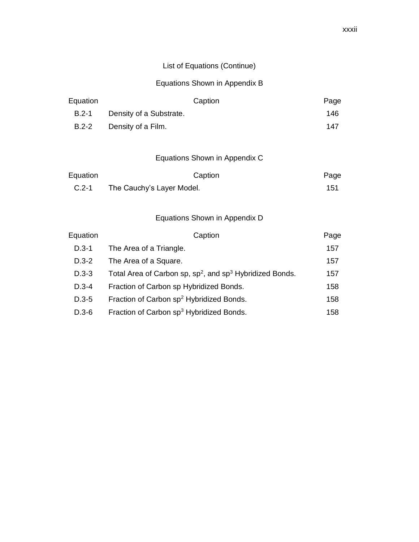### List of Equations (Continue)

#### Equations Shown in Appendix B

| Equation  |                         | Caption | Page |
|-----------|-------------------------|---------|------|
| $B.2 - 1$ | Density of a Substrate. |         | 146  |
| $B.2 - 2$ | Density of a Film.      |         | 147  |

### Equations Shown in Appendix C

| Equation | Caption                   | Page |
|----------|---------------------------|------|
| $C.2-1$  | The Cauchy's Layer Model. | 151  |

#### Equations Shown in Appendix D

| Equation  | Caption                                                        | Page |
|-----------|----------------------------------------------------------------|------|
| $D.3-1$   | The Area of a Triangle.                                        | 157  |
| $D.3-2$   | The Area of a Square.                                          | 157  |
| $D.3 - 3$ | Total Area of Carbon sp, $sp^2$ , and $sp^3$ Hybridized Bonds. | 157  |
| $D.3 - 4$ | Fraction of Carbon sp Hybridized Bonds.                        | 158  |
| $D.3-5$   | Fraction of Carbon sp <sup>2</sup> Hybridized Bonds.           | 158  |
| $D.3-6$   | Fraction of Carbon sp <sup>3</sup> Hybridized Bonds.           | 158  |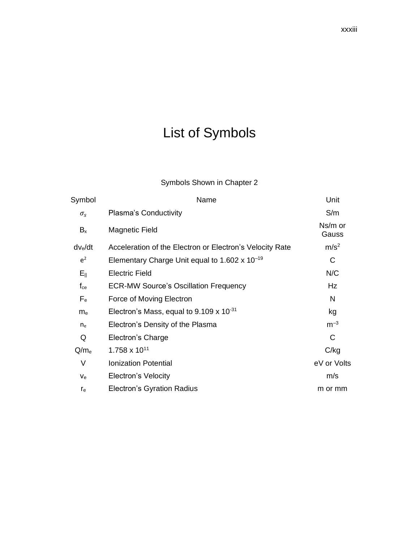# List of Symbols

# Symbols Shown in Chapter 2

| Name                                                     | Unit             |
|----------------------------------------------------------|------------------|
| Plasma's Conductivity                                    | S/m              |
| <b>Magnetic Field</b>                                    | Ns/m or<br>Gauss |
| Acceleration of the Electron or Electron's Velocity Rate | m/s <sup>2</sup> |
| Elementary Charge Unit equal to 1.602 x $10^{-19}$       | С                |
| <b>Electric Field</b>                                    | N/C              |
| <b>ECR-MW Source's Oscillation Frequency</b>             | Hz               |
| Force of Moving Electron                                 | N                |
| Electron's Mass, equal to $9.109 \times 10^{-31}$        | kg               |
| Electron's Density of the Plasma                         | $m^{-3}$         |
| Electron's Charge                                        | C                |
| $1.758 \times 10^{11}$                                   | C/kg             |
| <b>Ionization Potential</b>                              | eV or Volts      |
| <b>Electron's Velocity</b>                               | m/s              |
| Electron's Gyration Radius                               | m or mm          |
|                                                          |                  |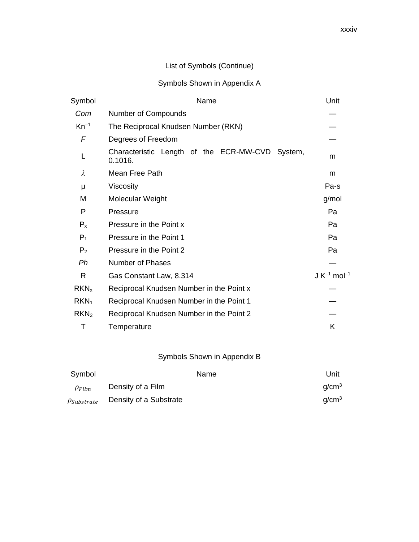# List of Symbols (Continue)

### Symbols Shown in Appendix A

| Symbol           | Name                                                       | Unit                         |
|------------------|------------------------------------------------------------|------------------------------|
| Com              | Number of Compounds                                        |                              |
| $Kn^{-1}$        | The Reciprocal Knudsen Number (RKN)                        |                              |
| F                | Degrees of Freedom                                         |                              |
|                  | Characteristic Length of the ECR-MW-CVD System,<br>0.1016. | m                            |
| λ                | Mean Free Path                                             | m                            |
| μ                | Viscosity                                                  | Pa-s                         |
| M                | Molecular Weight                                           | g/mol                        |
| P                | Pressure                                                   | Pa                           |
| $P_{x}$          | Pressure in the Point x                                    | Pa                           |
| $P_1$            | Pressure in the Point 1                                    | Pa                           |
| P <sub>2</sub>   | Pressure in the Point 2                                    | Pa                           |
| Ph               | <b>Number of Phases</b>                                    |                              |
| R                | Gas Constant Law, 8.314                                    | $J K^{-1}$ mol <sup>-1</sup> |
| $RKN_{x}$        | Reciprocal Knudsen Number in the Point x                   |                              |
| RKN <sub>1</sub> | Reciprocal Knudsen Number in the Point 1                   |                              |
| RKN <sub>2</sub> | Reciprocal Knudsen Number in the Point 2                   |                              |
| т                | Temperature                                                | Κ                            |

### Symbols Shown in Appendix B

| Symbol             |                        | Name | Unit              |
|--------------------|------------------------|------|-------------------|
| $\rho_{Film}$      | Density of a Film      |      | q/cm <sup>3</sup> |
| $\rho_{Substrate}$ | Density of a Substrate |      | q/cm <sup>3</sup> |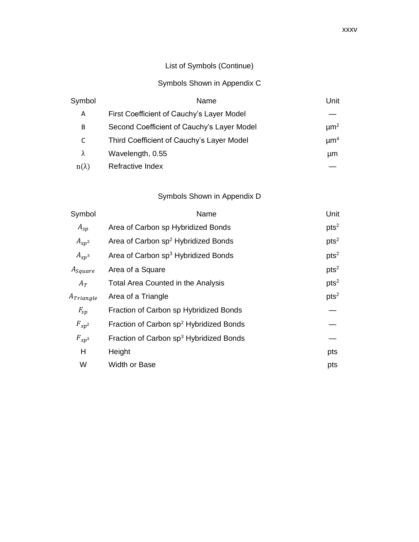# List of Symbols (Continue)

### Symbols Shown in Appendix C

| Symbol       | Name                                       | Unit                 |
|--------------|--------------------------------------------|----------------------|
| Α            | First Coefficient of Cauchy's Layer Model  |                      |
| B            | Second Coefficient of Cauchy's Layer Model | $\mu$ m <sup>2</sup> |
| C            | Third Coefficient of Cauchy's Layer Model  | $\mu$ m <sup>4</sup> |
| $\lambda$    | Wavelength, 0.55                           | μm                   |
| $n(\lambda)$ | Refractive Index                           |                      |

### Symbols Shown in Appendix D

| Symbol         | Name                                                | Unit             |
|----------------|-----------------------------------------------------|------------------|
| $A_{sp}$       | Area of Carbon sp Hybridized Bonds                  | pts <sup>2</sup> |
| $A_{sp^2}$     | Area of Carbon sp <sup>2</sup> Hybridized Bonds     | pts <sup>2</sup> |
| $A_{sp^3}$     | Area of Carbon sp <sup>3</sup> Hybridized Bonds     | pts <sup>2</sup> |
| $A_{Square}$   | Area of a Square                                    | pts <sup>2</sup> |
| $A_T$          | Total Area Counted in the Analysis                  | pts <sup>2</sup> |
| $A_{Triangle}$ | Area of a Triangle                                  | pts <sup>2</sup> |
| $F_{sp}$       | Fraction of Carbon sp Hybridized Bonds              |                  |
| $F_{sp^2}$     | Fraction of Carbon sp <sup>2</sup> Hybridized Bonds |                  |
| $F_{sp^3}$     | Fraction of Carbon sp <sup>3</sup> Hybridized Bonds |                  |
| Н              | Height                                              | pts              |
| W              | Width or Base                                       | pts              |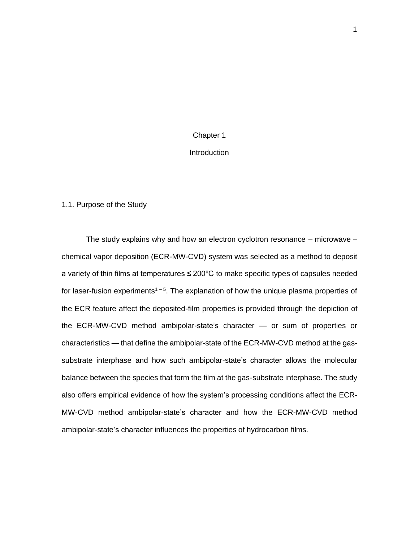# Chapter 1 **Introduction**

#### 1.1. Purpose of the Study

The study explains why and how an electron cyclotron resonance – microwave – chemical vapor deposition (ECR-MW-CVD) system was selected as a method to deposit a variety of thin films at temperatures ≤ 200ºC to make specific types of capsules needed for laser-fusion experiments<sup> $1-5$ </sup>. The explanation of how the unique plasma properties of the ECR feature affect the deposited-film properties is provided through the depiction of the ECR-MW-CVD method ambipolar-state's character — or sum of properties or characteristics — that define the ambipolar-state of the ECR-MW-CVD method at the gassubstrate interphase and how such ambipolar-state's character allows the molecular balance between the species that form the film at the gas-substrate interphase. The study also offers empirical evidence of how the system's processing conditions affect the ECR-MW-CVD method ambipolar-state's character and how the ECR-MW-CVD method ambipolar-state's character influences the properties of hydrocarbon films.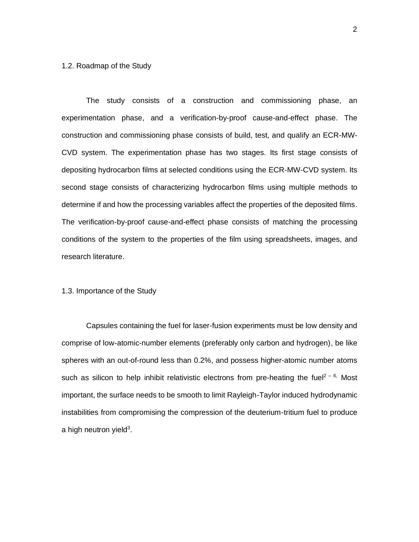#### 1.2. Roadmap of the Study

The study consists of a construction and commissioning phase, an experimentation phase, and a verification-by-proof cause-and-effect phase. The construction and commissioning phase consists of build, test, and qualify an ECR-MW-CVD system. The experimentation phase has two stages. Its first stage consists of depositing hydrocarbon films at selected conditions using the ECR-MW-CVD system. Its second stage consists of characterizing hydrocarbon films using multiple methods to determine if and how the processing variables affect the properties of the deposited films. The verification-by-proof cause-and-effect phase consists of matching the processing conditions of the system to the properties of the film using spreadsheets, images, and research literature.

#### 1.3. Importance of the Study

Capsules containing the fuel for laser-fusion experiments must be low density and comprise of low-atomic-number elements (preferably only carbon and hydrogen), be like spheres with an out-of-round less than 0.2%, and possess higher-atomic number atoms such as silicon to help inhibit relativistic electrons from pre-heating the fuel<sup>2 – 6,</sup> Most important, the surface needs to be smooth to limit Rayleigh-Taylor induced hydrodynamic instabilities from compromising the compression of the deuterium-tritium fuel to produce a high neutron yield $3$ .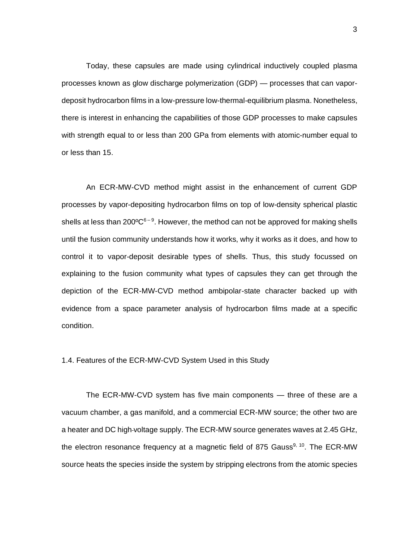Today, these capsules are made using cylindrical inductively coupled plasma processes known as glow discharge polymerization (GDP) — processes that can vapordeposit hydrocarbon films in a low-pressure low-thermal-equilibrium plasma. Nonetheless, there is interest in enhancing the capabilities of those GDP processes to make capsules with strength equal to or less than 200 GPa from elements with atomic-number equal to or less than 15.

An ECR-MW-CVD method might assist in the enhancement of current GDP processes by vapor-depositing hydrocarbon films on top of low-density spherical plastic shells at less than 200 ${^{\circ}C^{6-9}}$ . However, the method can not be approved for making shells until the fusion community understands how it works, why it works as it does, and how to control it to vapor-deposit desirable types of shells. Thus, this study focussed on explaining to the fusion community what types of capsules they can get through the depiction of the ECR-MW-CVD method ambipolar-state character backed up with evidence from a space parameter analysis of hydrocarbon films made at a specific condition.

#### 1.4. Features of the ECR-MW-CVD System Used in this Study

The ECR-MW-CVD system has five main components — three of these are a vacuum chamber, a gas manifold, and a commercial ECR-MW source; the other two are a heater and DC high voltage supply. The ECR-MW source generates waves at 2.45 GHz, the electron resonance frequency at a magnetic field of 875 Gauss<sup>9, 10</sup>. The ECR-MW source heats the species inside the system by stripping electrons from the atomic species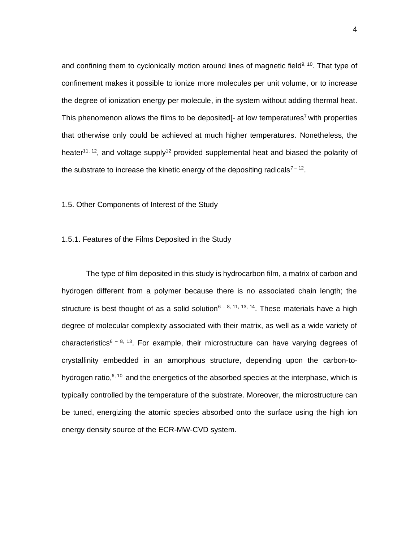and confining them to cyclonically motion around lines of magnetic field<sup>9, 10</sup>. That type of confinement makes it possible to ionize more molecules per unit volume, or to increase the degree of ionization energy per molecule, in the system without adding thermal heat. This phenomenon allows the films to be deposited  $\mathsf{I}$ - at low temperatures<sup>7</sup> with properties that otherwise only could be achieved at much higher temperatures. Nonetheless, the heater<sup>11, 12</sup>, and voltage supply<sup>12</sup> provided supplemental heat and biased the polarity of the substrate to increase the kinetic energy of the depositing radicals<sup>7-12</sup>.

1.5. Other Components of Interest of the Study

#### 1.5.1. Features of the Films Deposited in the Study

The type of film deposited in this study is hydrocarbon film, a matrix of carbon and hydrogen different from a polymer because there is no associated chain length; the structure is best thought of as a solid solution<sup>6-8, 11, 13, 14</sup>. These materials have a high degree of molecular complexity associated with their matrix, as well as a wide variety of characteristics<sup>6 – 8, 13</sup>. For example, their microstructure can have varying degrees of crystallinity embedded in an amorphous structure, depending upon the carbon-tohydrogen ratio, $6, 10$ , and the energetics of the absorbed species at the interphase, which is typically controlled by the temperature of the substrate. Moreover, the microstructure can be tuned, energizing the atomic species absorbed onto the surface using the high ion energy density source of the ECR-MW-CVD system.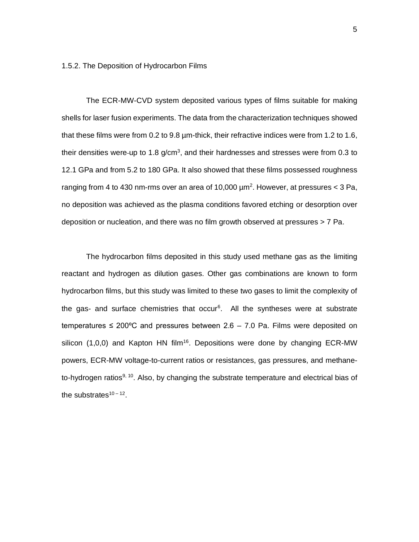1.5.2. The Deposition of Hydrocarbon Films

The ECR-MW-CVD system deposited various types of films suitable for making shells for laser fusion experiments. The data from the characterization techniques showed that these films were from 0.2 to 9.8 µm-thick, their refractive indices were from 1.2 to 1.6, their densities were-up to 1.8 g/cm<sup>3</sup>, and their hardnesses and stresses were from 0.3 to 12.1 GPa and from 5.2 to 180 GPa. It also showed that these films possessed roughness ranging from 4 to 430 nm-rms over an area of 10,000  $\mu$ m<sup>2</sup>. However, at pressures < 3 Pa, no deposition was achieved as the plasma conditions favored etching or desorption over deposition or nucleation, and there was no film growth observed at pressures > 7 Pa.

The hydrocarbon films deposited in this study used methane gas as the limiting reactant and hydrogen as dilution gases. Other gas combinations are known to form hydrocarbon films, but this study was limited to these two gases to limit the complexity of the gas- and surface chemistries that occur<sup>6</sup>. All the syntheses were at substrate temperatures  $\leq 200^{\circ}$ C and pressures between 2.6 – 7.0 Pa. Films were deposited on silicon  $(1,0,0)$  and Kapton HN film<sup>16</sup>. Depositions were done by changing ECR-MW powers, ECR-MW voltage-to-current ratios or resistances, gas pressures, and methaneto-hydrogen ratios<sup>9, 10</sup>. Also, by changing the substrate temperature and electrical bias of the substrates $10 - 12$ .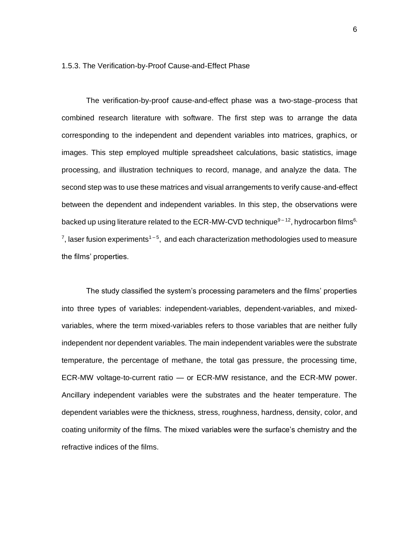#### 1.5.3. The Verification-by-Proof Cause-and-Effect Phase

The verification-by-proof cause-and-effect phase was a two-stage process that combined research literature with software. The first step was to arrange the data corresponding to the independent and dependent variables into matrices, graphics, or images. This step employed multiple spreadsheet calculations, basic statistics, image processing, and illustration techniques to record, manage, and analyze the data. The second step was to use these matrices and visual arrangements to verify cause-and-effect between the dependent and independent variables. In this step, the observations were backed up using literature related to the ECR-MW-CVD technique $9-12$ , hydrocarbon films<sup>6,</sup>  $7$ , laser fusion experiments<sup>1-5</sup>, and each characterization methodologies used to measure the films' properties.

The study classified the system's processing parameters and the films' properties into three types of variables: independent-variables, dependent-variables, and mixedvariables, where the term mixed-variables refers to those variables that are neither fully independent nor dependent variables. The main independent variables were the substrate temperature, the percentage of methane, the total gas pressure, the processing time, ECR-MW voltage-to-current ratio — or ECR-MW resistance, and the ECR-MW power. Ancillary independent variables were the substrates and the heater temperature. The dependent variables were the thickness, stress, roughness, hardness, density, color, and coating uniformity of the films. The mixed variables were the surface's chemistry and the refractive indices of the films.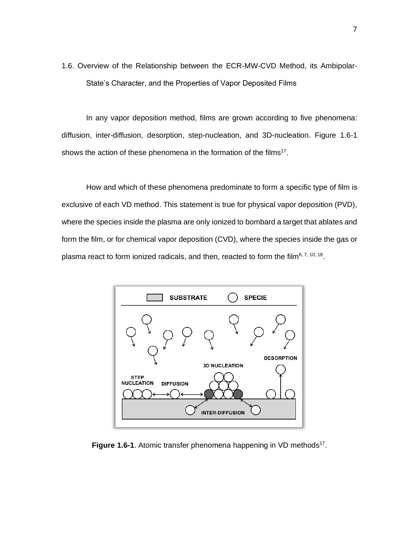1.6. Overview of the Relationship between the ECR-MW-CVD Method, its Ambipolar-State's Character, and the Properties of Vapor Deposited Films

In any vapor deposition method, films are grown according to five phenomena: diffusion, inter-diffusion, desorption, step-nucleation, and 3D-nucleation. Figure 1.6-1 shows the action of these phenomena in the formation of the films<sup>17</sup>.

How and which of these phenomena predominate to form a specific type of film is exclusive of each VD method. This statement is true for physical vapor deposition (PVD), where the species inside the plasma are only ionized to bombard a target that ablates and form the film, or for chemical vapor deposition (CVD), where the species inside the gas or plasma react to form ionized radicals, and then, reacted to form the film<sup>6, 7, 10, 18</sup>.



Figure 1.6-1. Atomic transfer phenomena happening in VD methods<sup>17</sup>.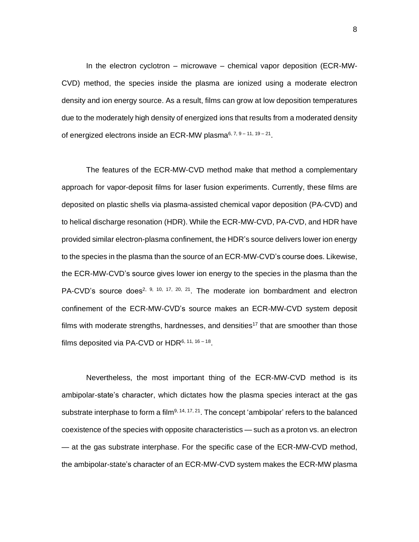In the electron cyclotron – microwave – chemical vapor deposition (ECR-MW-CVD) method, the species inside the plasma are ionized using a moderate electron density and ion energy source. As a result, films can grow at low deposition temperatures due to the moderately high density of energized ions that results from a moderated density of energized electrons inside an ECR-MW plasma<sup>6, 7, 9 – 11, 19 – 21</sup>.

The features of the ECR-MW-CVD method make that method a complementary approach for vapor-deposit films for laser fusion experiments. Currently, these films are deposited on plastic shells via plasma-assisted chemical vapor deposition (PA-CVD) and to helical discharge resonation (HDR). While the ECR-MW-CVD, PA-CVD, and HDR have provided similar electron-plasma confinement, the HDR's source delivers lower ion energy to the species in the plasma than the source of an ECR-MW-CVD's course does. Likewise, the ECR-MW-CVD's source gives lower ion energy to the species in the plasma than the PA-CVD's source does<sup>2, 9, 10, 17, 20, 21</sup>. The moderate ion bombardment and electron confinement of the ECR-MW-CVD's source makes an ECR-MW-CVD system deposit films with moderate strengths, hardnesses, and densities<sup>17</sup> that are smoother than those films deposited via PA-CVD or HDR<sup>6, 11, 16 – 18</sup>.

Nevertheless, the most important thing of the ECR-MW-CVD method is its ambipolar-state's character, which dictates how the plasma species interact at the gas substrate interphase to form a film<sup>9, 14, 17, 21</sup>. The concept 'ambipolar' refers to the balanced coexistence of the species with opposite characteristics — such as a proton vs. an electron — at the gas substrate interphase. For the specific case of the ECR-MW-CVD method, the ambipolar-state's character of an ECR-MW-CVD system makes the ECR-MW plasma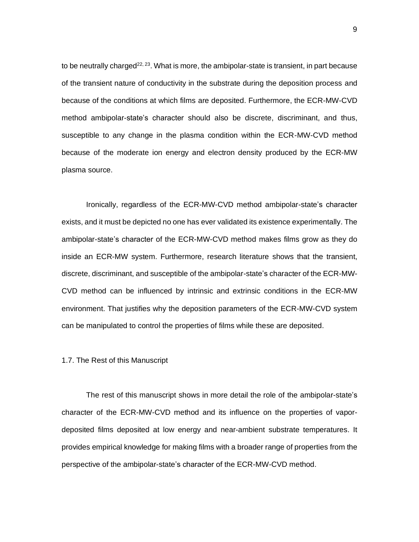to be neutrally charged<sup>22, 23</sup>. What is more, the ambipolar-state is transient, in part because of the transient nature of conductivity in the substrate during the deposition process and because of the conditions at which films are deposited. Furthermore, the ECR-MW-CVD method ambipolar-state's character should also be discrete, discriminant, and thus, susceptible to any change in the plasma condition within the ECR-MW-CVD method because of the moderate ion energy and electron density produced by the ECR-MW plasma source.

Ironically, regardless of the ECR-MW-CVD method ambipolar-state's character exists, and it must be depicted no one has ever validated its existence experimentally. The ambipolar-state's character of the ECR-MW-CVD method makes films grow as they do inside an ECR-MW system. Furthermore, research literature shows that the transient, discrete, discriminant, and susceptible of the ambipolar-state's character of the ECR-MW-CVD method can be influenced by intrinsic and extrinsic conditions in the ECR-MW environment. That justifies why the deposition parameters of the ECR-MW-CVD system can be manipulated to control the properties of films while these are deposited.

#### 1.7. The Rest of this Manuscript

The rest of this manuscript shows in more detail the role of the ambipolar-state's character of the ECR-MW-CVD method and its influence on the properties of vapordeposited films deposited at low energy and near-ambient substrate temperatures. It provides empirical knowledge for making films with a broader range of properties from the perspective of the ambipolar-state's character of the ECR-MW-CVD method.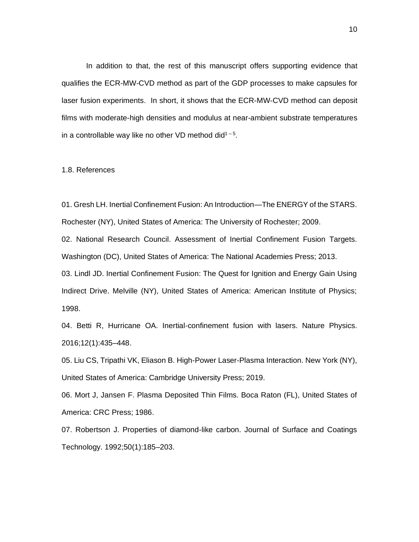In addition to that, the rest of this manuscript offers supporting evidence that qualifies the ECR-MW-CVD method as part of the GDP processes to make capsules for laser fusion experiments. In short, it shows that the ECR-MW-CVD method can deposit films with moderate-high densities and modulus at near-ambient substrate temperatures in a controllable way like no other VD method did<sup>1-5</sup>.

#### 1.8. References

01. Gresh LH. Inertial Confinement Fusion: An Introduction—The ENERGY of the STARS. Rochester (NY), United States of America: The University of Rochester; 2009.

02. National Research Council. Assessment of Inertial Confinement Fusion Targets. Washington (DC), United States of America: The National Academies Press; 2013.

03. Lindl JD. Inertial Confinement Fusion: The Quest for Ignition and Energy Gain Using Indirect Drive. Melville (NY), United States of America: American Institute of Physics; 1998.

04. Betti R, Hurricane OA. Inertial-confinement fusion with lasers. Nature Physics. 2016;12(1):435–448.

05. Liu CS, Tripathi VK, Eliason B. High-Power Laser-Plasma Interaction. New York (NY), United States of America: Cambridge University Press; 2019.

06. Mort J, Jansen F. Plasma Deposited Thin Films. Boca Raton (FL), United States of America: CRC Press; 1986.

07. Robertson J. Properties of diamond-like carbon. Journal of Surface and Coatings Technology. 1992;50(1):185–203.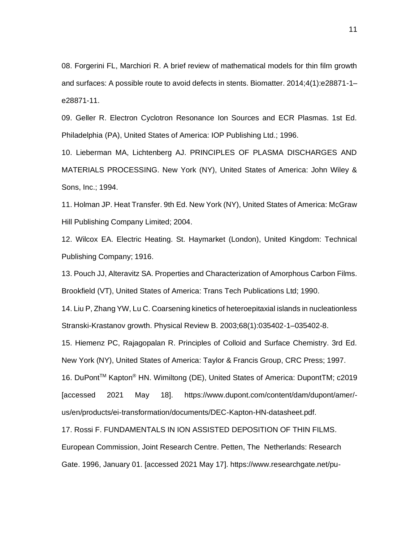08. Forgerini FL, Marchiori R. A brief review of mathematical models for thin film growth and surfaces: A possible route to avoid defects in stents. Biomatter. 2014;4(1):e28871-1– e28871-11.

09. Geller R. Electron Cyclotron Resonance Ion Sources and ECR Plasmas. 1st Ed. Philadelphia (PA), United States of America: IOP Publishing Ltd.; 1996.

10. Lieberman MA, Lichtenberg AJ. PRINCIPLES OF PLASMA DISCHARGES AND MATERIALS PROCESSING. New York (NY), United States of America: John Wiley & Sons, Inc.; 1994.

11. Holman JP. Heat Transfer. 9th Ed. New York (NY), United States of America: McGraw Hill Publishing Company Limited; 2004.

12. Wilcox EA. Electric Heating. St. Haymarket (London), United Kingdom: Technical Publishing Company; 1916.

13. Pouch JJ, Alteravitz SA. Properties and Characterization of Amorphous Carbon Films. Brookfield (VT), United States of America: Trans Tech Publications Ltd; 1990.

14. Liu P, Zhang YW, Lu C. Coarsening kinetics of heteroepitaxial islands in nucleationless Stranski-Krastanov growth. Physical Review B. 2003;68(1):035402-1–035402-8.

15. Hiemenz PC, Rajagopalan R. Principles of Colloid and Surface Chemistry. 3rd Ed. New York (NY), United States of America: Taylor & Francis Group, CRC Press; 1997.

16. DuPontTM Kapton® HN. Wimiltong (DE), United States of America: DupontTM; c2019 [accessed 2021 May 18]. https://www.dupont.com/content/dam/dupont/amer/ us/en/products/ei-transformation/documents/DEC-Kapton-HN-datasheet.pdf.

17. Rossi F. FUNDAMENTALS IN ION ASSISTED DEPOSITION OF THIN FILMS.

European Commission, Joint Research Centre. Petten, The Netherlands: Research

Gate. 1996, January 01. [accessed 2021 May 17]. https://www.researchgate.net/pu-